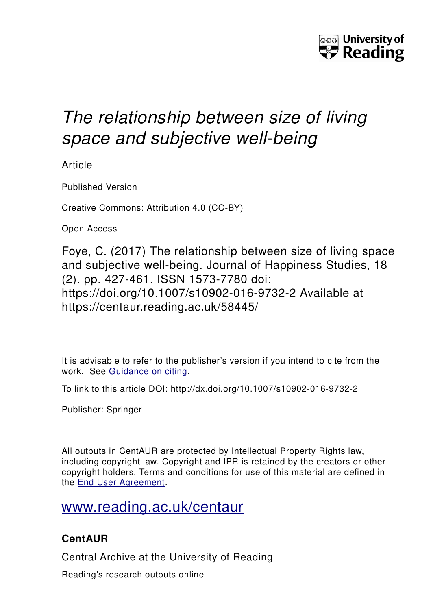

# *The relationship between size of living space and subjective well-being*

Article

Published Version

Creative Commons: Attribution 4.0 (CC-BY)

Open Access

Foye, C. (2017) The relationship between size of living space and subjective well-being. Journal of Happiness Studies, 18 (2). pp. 427-461. ISSN 1573-7780 doi: https://doi.org/10.1007/s10902-016-9732-2 Available at https://centaur.reading.ac.uk/58445/

It is advisable to refer to the publisher's version if you intend to cite from the work. See [Guidance on citing.](http://centaur.reading.ac.uk/71187/10/CentAUR%20citing%20guide.pdf)

To link to this article DOI: http://dx.doi.org/10.1007/s10902-016-9732-2

Publisher: Springer

All outputs in CentAUR are protected by Intellectual Property Rights law, including copyright law. Copyright and IPR is retained by the creators or other copyright holders. Terms and conditions for use of this material are defined in the [End User Agreement.](http://centaur.reading.ac.uk/licence)

## [www.reading.ac.uk/centaur](http://www.reading.ac.uk/centaur)

### **CentAUR**

Central Archive at the University of Reading

Reading's research outputs online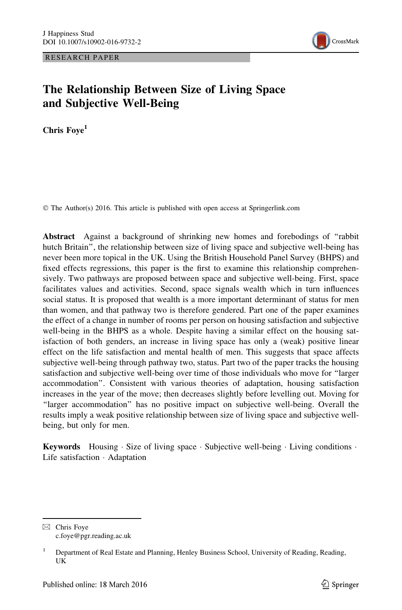RESEARCH PAPER



#### The Relationship Between Size of Living Space and Subjective Well-Being

Chris Foye<sup>1</sup>

© The Author(s) 2016. This article is published with open access at Springerlink.com

Abstract Against a background of shrinking new homes and forebodings of ''rabbit hutch Britain'', the relationship between size of living space and subjective well-being has never been more topical in the UK. Using the British Household Panel Survey (BHPS) and fixed effects regressions, this paper is the first to examine this relationship comprehensively. Two pathways are proposed between space and subjective well-being. First, space facilitates values and activities. Second, space signals wealth which in turn influences social status. It is proposed that wealth is a more important determinant of status for men than women, and that pathway two is therefore gendered. Part one of the paper examines the effect of a change in number of rooms per person on housing satisfaction and subjective well-being in the BHPS as a whole. Despite having a similar effect on the housing satisfaction of both genders, an increase in living space has only a (weak) positive linear effect on the life satisfaction and mental health of men. This suggests that space affects subjective well-being through pathway two, status. Part two of the paper tracks the housing satisfaction and subjective well-being over time of those individuals who move for ''larger accommodation''. Consistent with various theories of adaptation, housing satisfaction increases in the year of the move; then decreases slightly before levelling out. Moving for "larger accommodation" has no positive impact on subjective well-being. Overall the results imply a weak positive relationship between size of living space and subjective wellbeing, but only for men.

**Keywords** Housing Size of living space Subjective well-being Living conditions  $\cdot$ Life satisfaction - Adaptation

 $\boxtimes$  Chris Foye c.foye@pgr.reading.ac.uk

<sup>&</sup>lt;sup>1</sup> Department of Real Estate and Planning, Henley Business School, University of Reading, Reading, UK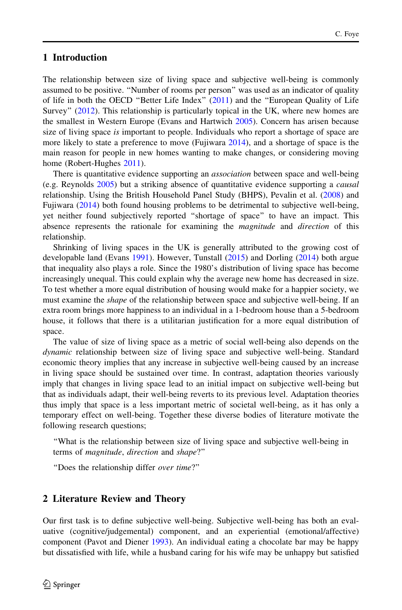#### 1 Introduction

The relationship between size of living space and subjective well-being is commonly assumed to be positive. ''Number of rooms per person'' was used as an indicator of quality of life in both the OECD ''Better Life Index'' [\(2011](#page-35-0)) and the ''European Quality of Life Survey'' ([2012\)](#page-34-0). This relationship is particularly topical in the UK, where new homes are the smallest in Western Europe (Evans and Hartwich [2005](#page-34-0)). Concern has arisen because size of living space is important to people. Individuals who report a shortage of space are more likely to state a preference to move (Fujiwara [2014\)](#page-34-0), and a shortage of space is the main reason for people in new homes wanting to make changes, or considering moving home (Robert-Hughes [2011](#page-35-0)).

There is quantitative evidence supporting an *association* between space and well-being (e.g. Reynolds [2005\)](#page-35-0) but a striking absence of quantitative evidence supporting a causal relationship. Using the British Household Panel Study (BHPS), Pevalin et al. ([2008\)](#page-35-0) and Fujiwara ([2014\)](#page-34-0) both found housing problems to be detrimental to subjective well-being, yet neither found subjectively reported ''shortage of space'' to have an impact. This absence represents the rationale for examining the *magnitude* and *direction* of this relationship.

Shrinking of living spaces in the UK is generally attributed to the growing cost of developable land (Evans [1991](#page-34-0)). However, Tunstall [\(2015](#page-35-0)) and Dorling ([2014](#page-34-0)) both argue that inequality also plays a role. Since the 1980's distribution of living space has become increasingly unequal. This could explain why the average new home has decreased in size. To test whether a more equal distribution of housing would make for a happier society, we must examine the *shape* of the relationship between space and subjective well-being. If an extra room brings more happiness to an individual in a 1-bedroom house than a 5-bedroom house, it follows that there is a utilitarian justification for a more equal distribution of space.

The value of size of living space as a metric of social well-being also depends on the dynamic relationship between size of living space and subjective well-being. Standard economic theory implies that any increase in subjective well-being caused by an increase in living space should be sustained over time. In contrast, adaptation theories variously imply that changes in living space lead to an initial impact on subjective well-being but that as individuals adapt, their well-being reverts to its previous level. Adaptation theories thus imply that space is a less important metric of societal well-being, as it has only a temporary effect on well-being. Together these diverse bodies of literature motivate the following research questions;

''What is the relationship between size of living space and subjective well-being in terms of magnitude, direction and shape?''

''Does the relationship differ over time?''

#### 2 Literature Review and Theory

Our first task is to define subjective well-being. Subjective well-being has both an evaluative (cognitive/judgemental) component, and an experiential (emotional/affective) component (Pavot and Diener [1993\)](#page-35-0). An individual eating a chocolate bar may be happy but dissatisfied with life, while a husband caring for his wife may be unhappy but satisfied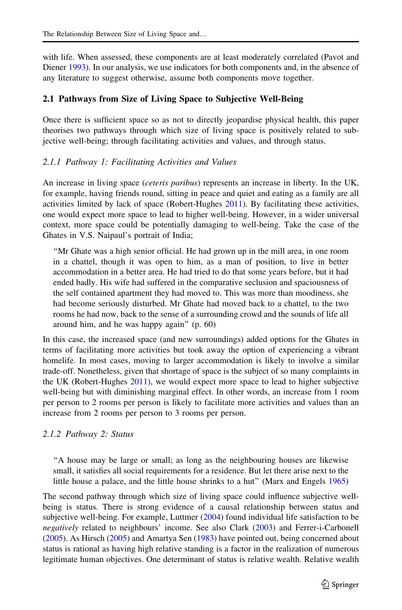with life. When assessed, these components are at least moderately correlated (Pavot and Diener [1993\)](#page-35-0). In our analysis, we use indicators for both components and, in the absence of any literature to suggest otherwise, assume both components move together.

#### 2.1 Pathways from Size of Living Space to Subjective Well-Being

Once there is sufficient space so as not to directly jeopardise physical health, this paper theorises two pathways through which size of living space is positively related to subjective well-being; through facilitating activities and values, and through status.

#### 2.1.1 Pathway 1: Facilitating Activities and Values

An increase in living space *(ceteris paribus)* represents an increase in liberty. In the UK, for example, having friends round, sitting in peace and quiet and eating as a family are all activities limited by lack of space (Robert-Hughes [2011](#page-35-0)). By facilitating these activities, one would expect more space to lead to higher well-being. However, in a wider universal context, more space could be potentially damaging to well-being. Take the case of the Ghates in V.S. Naipaul's portrait of India;

''Mr Ghate was a high senior official. He had grown up in the mill area, in one room in a chattel, though it was open to him, as a man of position, to live in better accommodation in a better area. He had tried to do that some years before, but it had ended badly. His wife had suffered in the comparative seclusion and spaciousness of the self contained apartment they had moved to. This was more than moodiness, she had become seriously disturbed. Mr Ghate had moved back to a chattel, to the two rooms he had now, back to the sense of a surrounding crowd and the sounds of life all around him, and he was happy again'' (p. 60)

In this case, the increased space (and new surroundings) added options for the Ghates in terms of facilitating more activities but took away the option of experiencing a vibrant homelife. In most cases, moving to larger accommodation is likely to involve a similar trade-off. Nonetheless, given that shortage of space is the subject of so many complaints in the UK (Robert-Hughes [2011\)](#page-35-0), we would expect more space to lead to higher subjective well-being but with diminishing marginal effect. In other words, an increase from 1 room per person to 2 rooms per person is likely to facilitate more activities and values than an increase from 2 rooms per person to 3 rooms per person.

#### 2.1.2 Pathway 2: Status

''A house may be large or small; as long as the neighbouring houses are likewise small, it satisfies all social requirements for a residence. But let there arise next to the little house a palace, and the little house shrinks to a hut'' (Marx and Engels [1965](#page-34-0))

The second pathway through which size of living space could influence subjective wellbeing is status. There is strong evidence of a causal relationship between status and subjective well-being. For example, Luttmer [\(2004](#page-34-0)) found individual life satisfaction to be negatively related to neighbours' income. See also Clark [\(2003](#page-34-0)) and Ferrer-i-Carbonell ([2005\)](#page-34-0). As Hirsch ([2005\)](#page-34-0) and Amartya Sen [\(1983](#page-35-0)) have pointed out, being concerned about status is rational as having high relative standing is a factor in the realization of numerous legitimate human objectives. One determinant of status is relative wealth. Relative wealth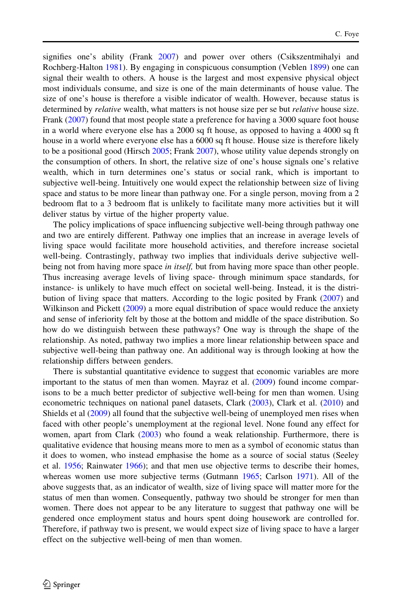signifies one's ability (Frank [2007](#page-34-0)) and power over others (Csikszentmihalyi and Rochberg-Halton [1981](#page-34-0)). By engaging in conspicuous consumption (Veblen [1899](#page-35-0)) one can signal their wealth to others. A house is the largest and most expensive physical object most individuals consume, and size is one of the main determinants of house value. The size of one's house is therefore a visible indicator of wealth. However, because status is determined by *relative* wealth, what matters is not house size per se but *relative* house size. Frank [\(2007](#page-34-0)) found that most people state a preference for having a 3000 square foot house in a world where everyone else has a 2000 sq ft house, as opposed to having a 4000 sq ft house in a world where everyone else has a 6000 sq ft house. House size is therefore likely to be a positional good (Hirsch [2005](#page-34-0); Frank [2007\)](#page-34-0), whose utility value depends strongly on the consumption of others. In short, the relative size of one's house signals one's relative wealth, which in turn determines one's status or social rank, which is important to subjective well-being. Intuitively one would expect the relationship between size of living space and status to be more linear than pathway one. For a single person, moving from a 2 bedroom flat to a 3 bedroom flat is unlikely to facilitate many more activities but it will deliver status by virtue of the higher property value.

The policy implications of space influencing subjective well-being through pathway one and two are entirely different. Pathway one implies that an increase in average levels of living space would facilitate more household activities, and therefore increase societal well-being. Contrastingly, pathway two implies that individuals derive subjective wellbeing not from having more space in itself, but from having more space than other people. Thus increasing average levels of living space- through minimum space standards, for instance- is unlikely to have much effect on societal well-being. Instead, it is the distribution of living space that matters. According to the logic posited by Frank [\(2007](#page-34-0)) and Wilkinson and Pickett ([2009\)](#page-35-0) a more equal distribution of space would reduce the anxiety and sense of inferiority felt by those at the bottom and middle of the space distribution. So how do we distinguish between these pathways? One way is through the shape of the relationship. As noted, pathway two implies a more linear relationship between space and subjective well-being than pathway one. An additional way is through looking at how the relationship differs between genders.

There is substantial quantitative evidence to suggest that economic variables are more important to the status of men than women. Mayraz et al. [\(2009](#page-35-0)) found income comparisons to be a much better predictor of subjective well-being for men than women. Using econometric techniques on national panel datasets, Clark [\(2003](#page-34-0)), Clark et al. [\(2010](#page-34-0)) and Shields et al ([2009\)](#page-35-0) all found that the subjective well-being of unemployed men rises when faced with other people's unemployment at the regional level. None found any effect for women, apart from Clark [\(2003](#page-34-0)) who found a weak relationship. Furthermore, there is qualitative evidence that housing means more to men as a symbol of economic status than it does to women, who instead emphasise the home as a source of social status (Seeley et al. [1956;](#page-35-0) Rainwater [1966](#page-35-0)); and that men use objective terms to describe their homes, whereas women use more subjective terms (Gutmann [1965;](#page-34-0) Carlson [1971](#page-34-0)). All of the above suggests that, as an indicator of wealth, size of living space will matter more for the status of men than women. Consequently, pathway two should be stronger for men than women. There does not appear to be any literature to suggest that pathway one will be gendered once employment status and hours spent doing housework are controlled for. Therefore, if pathway two is present, we would expect size of living space to have a larger effect on the subjective well-being of men than women.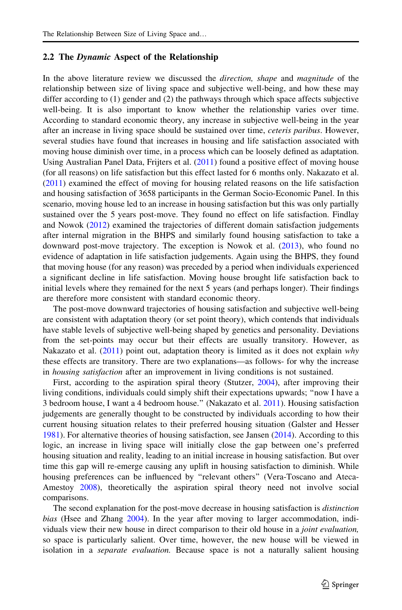#### 2.2 The Dynamic Aspect of the Relationship

In the above literature review we discussed the *direction*, *shape* and *magnitude* of the relationship between size of living space and subjective well-being, and how these may differ according to (1) gender and (2) the pathways through which space affects subjective well-being. It is also important to know whether the relationship varies over time. According to standard economic theory, any increase in subjective well-being in the year after an increase in living space should be sustained over time, *ceteris paribus*. However, several studies have found that increases in housing and life satisfaction associated with moving house diminish over time, in a process which can be loosely defined as adaptation. Using Australian Panel Data, Frijters et al. [\(2011](#page-34-0)) found a positive effect of moving house (for all reasons) on life satisfaction but this effect lasted for 6 months only. Nakazato et al. ([2011\)](#page-35-0) examined the effect of moving for housing related reasons on the life satisfaction and housing satisfaction of 3658 participants in the German Socio-Economic Panel. In this scenario, moving house led to an increase in housing satisfaction but this was only partially sustained over the 5 years post-move. They found no effect on life satisfaction. Findlay and Nowok ([2012\)](#page-34-0) examined the trajectories of different domain satisfaction judgements after internal migration in the BHPS and similarly found housing satisfaction to take a downward post-move trajectory. The exception is Nowok et al. ([2013\)](#page-35-0), who found no evidence of adaptation in life satisfaction judgements. Again using the BHPS, they found that moving house (for any reason) was preceded by a period when individuals experienced a significant decline in life satisfaction. Moving house brought life satisfaction back to initial levels where they remained for the next 5 years (and perhaps longer). Their findings are therefore more consistent with standard economic theory.

The post-move downward trajectories of housing satisfaction and subjective well-being are consistent with adaptation theory (or set point theory), which contends that individuals have stable levels of subjective well-being shaped by genetics and personality. Deviations from the set-points may occur but their effects are usually transitory. However, as Nakazato et al. [\(2011](#page-35-0)) point out, adaptation theory is limited as it does not explain why these effects are transitory. There are two explanations—as follows- for why the increase in housing satisfaction after an improvement in living conditions is not sustained.

First, according to the aspiration spiral theory (Stutzer, [2004\)](#page-35-0), after improving their living conditions, individuals could simply shift their expectations upwards; ''now I have a 3 bedroom house, I want a 4 bedroom house.'' (Nakazato et al. [2011\)](#page-35-0). Housing satisfaction judgements are generally thought to be constructed by individuals according to how their current housing situation relates to their preferred housing situation (Galster and Hesser [1981\)](#page-34-0). For alternative theories of housing satisfaction, see Jansen ([2014\)](#page-34-0). According to this logic, an increase in living space will initially close the gap between one's preferred housing situation and reality, leading to an initial increase in housing satisfaction. But over time this gap will re-emerge causing any uplift in housing satisfaction to diminish. While housing preferences can be influenced by ''relevant others'' (Vera-Toscano and Ateca-Amestoy [2008](#page-35-0)), theoretically the aspiration spiral theory need not involve social comparisons.

The second explanation for the post-move decrease in housing satisfaction is distinction bias (Hsee and Zhang [2004\)](#page-34-0). In the year after moving to larger accommodation, individuals view their new house in direct comparison to their old house in a *joint evaluation*, so space is particularly salient. Over time, however, the new house will be viewed in isolation in a *separate evaluation*. Because space is not a naturally salient housing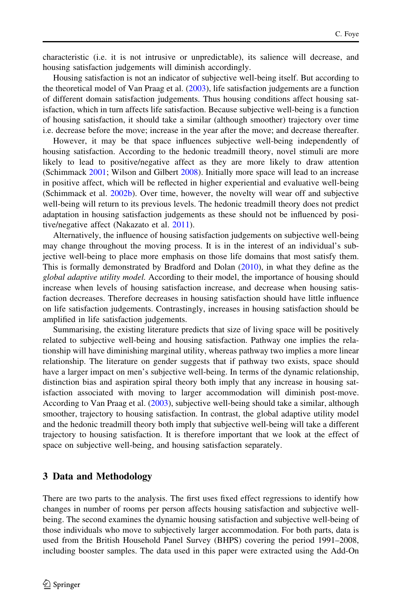characteristic (i.e. it is not intrusive or unpredictable), its salience will decrease, and housing satisfaction judgements will diminish accordingly.

Housing satisfaction is not an indicator of subjective well-being itself. But according to the theoretical model of Van Praag et al. [\(2003](#page-35-0)), life satisfaction judgements are a function of different domain satisfaction judgements. Thus housing conditions affect housing satisfaction, which in turn affects life satisfaction. Because subjective well-being is a function of housing satisfaction, it should take a similar (although smoother) trajectory over time i.e. decrease before the move; increase in the year after the move; and decrease thereafter.

However, it may be that space influences subjective well-being independently of housing satisfaction. According to the hedonic treadmill theory, novel stimuli are more likely to lead to positive/negative affect as they are more likely to draw attention (Schimmack [2001](#page-35-0); Wilson and Gilbert [2008\)](#page-35-0). Initially more space will lead to an increase in positive affect, which will be reflected in higher experiential and evaluative well-being (Schimmack et al. [2002b](#page-35-0)). Over time, however, the novelty will wear off and subjective well-being will return to its previous levels. The hedonic treadmill theory does not predict adaptation in housing satisfaction judgements as these should not be influenced by positive/negative affect (Nakazato et al. [2011](#page-35-0)).

Alternatively, the influence of housing satisfaction judgements on subjective well-being may change throughout the moving process. It is in the interest of an individual's subjective well-being to place more emphasis on those life domains that most satisfy them. This is formally demonstrated by Bradford and Dolan ([2010\)](#page-34-0), in what they define as the global adaptive utility model. According to their model, the importance of housing should increase when levels of housing satisfaction increase, and decrease when housing satisfaction decreases. Therefore decreases in housing satisfaction should have little influence on life satisfaction judgements. Contrastingly, increases in housing satisfaction should be amplified in life satisfaction judgements.

Summarising, the existing literature predicts that size of living space will be positively related to subjective well-being and housing satisfaction. Pathway one implies the relationship will have diminishing marginal utility, whereas pathway two implies a more linear relationship. The literature on gender suggests that if pathway two exists, space should have a larger impact on men's subjective well-being. In terms of the dynamic relationship, distinction bias and aspiration spiral theory both imply that any increase in housing satisfaction associated with moving to larger accommodation will diminish post-move. According to Van Praag et al. [\(2003](#page-35-0)), subjective well-being should take a similar, although smoother, trajectory to housing satisfaction. In contrast, the global adaptive utility model and the hedonic treadmill theory both imply that subjective well-being will take a different trajectory to housing satisfaction. It is therefore important that we look at the effect of space on subjective well-being, and housing satisfaction separately.

#### 3 Data and Methodology

There are two parts to the analysis. The first uses fixed effect regressions to identify how changes in number of rooms per person affects housing satisfaction and subjective wellbeing. The second examines the dynamic housing satisfaction and subjective well-being of those individuals who move to subjectively larger accommodation. For both parts, data is used from the British Household Panel Survey (BHPS) covering the period 1991–2008, including booster samples. The data used in this paper were extracted using the Add-On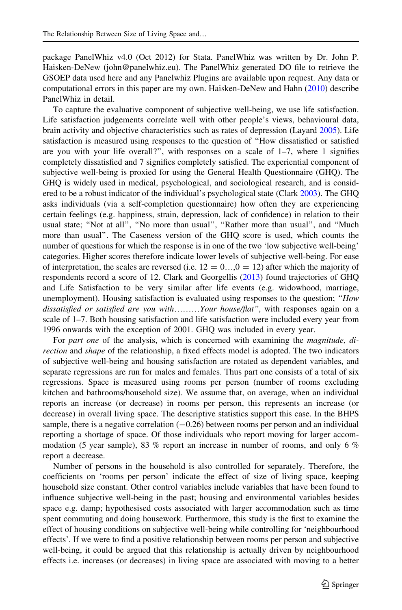package PanelWhiz v4.0 (Oct 2012) for Stata. PanelWhiz was written by Dr. John P. Haisken-DeNew (john@panelwhiz.eu). The PanelWhiz generated DO file to retrieve the GSOEP data used here and any Panelwhiz Plugins are available upon request. Any data or computational errors in this paper are my own. Haisken-DeNew and Hahn [\(2010](#page-34-0)) describe PanelWhiz in detail.

To capture the evaluative component of subjective well-being, we use life satisfaction. Life satisfaction judgements correlate well with other people's views, behavioural data, brain activity and objective characteristics such as rates of depression (Layard [2005\)](#page-34-0). Life satisfaction is measured using responses to the question of ''How dissatisfied or satisfied are you with your life overall?", with responses on a scale of  $1-7$ , where 1 signifies completely dissatisfied and 7 signifies completely satisfied. The experiential component of subjective well-being is proxied for using the General Health Questionnaire (GHQ). The GHQ is widely used in medical, psychological, and sociological research, and is considered to be a robust indicator of the individual's psychological state (Clark [2003](#page-34-0)). The GHQ asks individuals (via a self-completion questionnaire) how often they are experiencing certain feelings (e.g. happiness, strain, depression, lack of confidence) in relation to their usual state; "Not at all", "No more than usual", "Rather more than usual", and "Much more than usual''. The Caseness version of the GHQ score is used, which counts the number of questions for which the response is in one of the two 'low subjective well-being' categories. Higher scores therefore indicate lower levels of subjective well-being. For ease of interpretation, the scales are reversed (i.e.  $12 = 0 \dots 0 = 12$ ) after which the majority of respondents record a score of 12. Clark and Georgellis [\(2013](#page-34-0)) found trajectories of GHQ and Life Satisfaction to be very similar after life events (e.g. widowhood, marriage, unemployment). Housing satisfaction is evaluated using responses to the question; "How dissatisfied or satisfied are you with………Your house/flat'', with responses again on a scale of 1–7. Both housing satisfaction and life satisfaction were included every year from 1996 onwards with the exception of 2001. GHQ was included in every year.

For part one of the analysis, which is concerned with examining the *magnitude*, direction and shape of the relationship, a fixed effects model is adopted. The two indicators of subjective well-being and housing satisfaction are rotated as dependent variables, and separate regressions are run for males and females. Thus part one consists of a total of six regressions. Space is measured using rooms per person (number of rooms excluding kitchen and bathrooms/household size). We assume that, on average, when an individual reports an increase (or decrease) in rooms per person, this represents an increase (or decrease) in overall living space. The descriptive statistics support this case. In the BHPS sample, there is a negative correlation  $(-0.26)$  between rooms per person and an individual reporting a shortage of space. Of those individuals who report moving for larger accommodation (5 year sample), 83 % report an increase in number of rooms, and only 6 % report a decrease.

Number of persons in the household is also controlled for separately. Therefore, the coefficients on 'rooms per person' indicate the effect of size of living space, keeping household size constant. Other control variables include variables that have been found to influence subjective well-being in the past; housing and environmental variables besides space e.g. damp; hypothesised costs associated with larger accommodation such as time spent commuting and doing housework. Furthermore, this study is the first to examine the effect of housing conditions on subjective well-being while controlling for 'neighbourhood effects'. If we were to find a positive relationship between rooms per person and subjective well-being, it could be argued that this relationship is actually driven by neighbourhood effects i.e. increases (or decreases) in living space are associated with moving to a better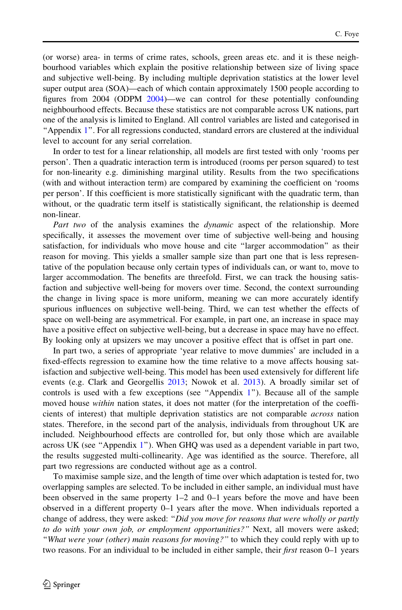(or worse) area- in terms of crime rates, schools, green areas etc. and it is these neighbourhood variables which explain the positive relationship between size of living space and subjective well-being. By including multiple deprivation statistics at the lower level super output area (SOA)—each of which contain approximately 1500 people according to figures from 2004 (ODPM [2004](#page-35-0))—we can control for these potentially confounding neighbourhood effects. Because these statistics are not comparable across UK nations, part one of the analysis is limited to England. All control variables are listed and categorised in ''Appendix [1](#page-15-0)''. For all regressions conducted, standard errors are clustered at the individual level to account for any serial correlation.

In order to test for a linear relationship, all models are first tested with only 'rooms per person'. Then a quadratic interaction term is introduced (rooms per person squared) to test for non-linearity e.g. diminishing marginal utility. Results from the two specifications (with and without interaction term) are compared by examining the coefficient on 'rooms per person'. If this coefficient is more statistically significant with the quadratic term, than without, or the quadratic term itself is statistically significant, the relationship is deemed non-linear.

Part two of the analysis examines the *dynamic* aspect of the relationship. More specifically, it assesses the movement over time of subjective well-being and housing satisfaction, for individuals who move house and cite ''larger accommodation'' as their reason for moving. This yields a smaller sample size than part one that is less representative of the population because only certain types of individuals can, or want to, move to larger accommodation. The benefits are threefold. First, we can track the housing satisfaction and subjective well-being for movers over time. Second, the context surrounding the change in living space is more uniform, meaning we can more accurately identify spurious influences on subjective well-being. Third, we can test whether the effects of space on well-being are asymmetrical. For example, in part one, an increase in space may have a positive effect on subjective well-being, but a decrease in space may have no effect. By looking only at upsizers we may uncover a positive effect that is offset in part one.

In part two, a series of appropriate 'year relative to move dummies' are included in a fixed-effects regression to examine how the time relative to a move affects housing satisfaction and subjective well-being. This model has been used extensively for different life events (e.g. Clark and Georgellis [2013](#page-34-0); Nowok et al. [2013](#page-35-0)). A broadly similar set of controls is used with a few exceptions (see "Appendix  $1$ "). Because all of the sample moved house *within* nation states, it does not matter (for the interpretation of the coefficients of interest) that multiple deprivation statistics are not comparable across nation states. Therefore, in the second part of the analysis, individuals from throughout UK are included. Neighbourhood effects are controlled for, but only those which are available across UK (see ''Appendix [1](#page-15-0)''). When GHQ was used as a dependent variable in part two, the results suggested multi-collinearity. Age was identified as the source. Therefore, all part two regressions are conducted without age as a control.

To maximise sample size, and the length of time over which adaptation is tested for, two overlapping samples are selected. To be included in either sample, an individual must have been observed in the same property 1–2 and 0–1 years before the move and have been observed in a different property 0–1 years after the move. When individuals reported a change of address, they were asked: "Did you move for reasons that were wholly or partly to do with your own job, or employment opportunities?" Next, all movers were asked; ''What were your (other) main reasons for moving?'' to which they could reply with up to two reasons. For an individual to be included in either sample, their *first* reason 0–1 years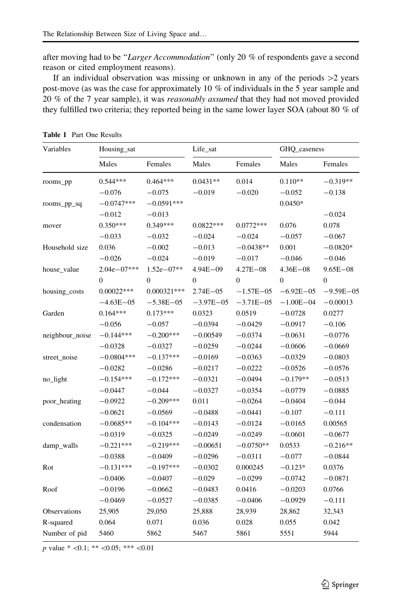<span id="page-9-0"></span>after moving had to be "Larger Accommodation" (only 20 % of respondents gave a second reason or cited employment reasons).

If an individual observation was missing or unknown in any of the periods  $>2$  years post-move (as was the case for approximately 10 % of individuals in the 5 year sample and 20 % of the 7 year sample), it was reasonably assumed that they had not moved provided they fulfilled two criteria; they reported being in the same lower layer SOA (about 80 % of

| Variables       | Housing_sat     |                | Life_sat         |               | GHQ_caseness   |                |
|-----------------|-----------------|----------------|------------------|---------------|----------------|----------------|
|                 | Males           | Females        | Males            | Females       | Males          | Females        |
| rooms_pp        | $0.544***$      | $0.464***$     | $0.0431**$       | 0.014         | $0.110**$      | $-0.319**$     |
|                 | $-0.076$        | $-0.075$       | $-0.019$         | $-0.020$      | $-0.052$       | $-0.138$       |
| rooms_pp_sq     | $-0.0747***$    | $-0.0591***$   |                  |               | $0.0450*$      |                |
|                 | $-0.012$        | $-0.013$       |                  |               |                | $-0.024$       |
| mover           | $0.350***$      | $0.349***$     | $0.0822***$      | $0.0772***$   | 0.076          | 0.078          |
|                 | $-0.033$        | $-0.032$       | $-0.024$         | $-0.024$      | $-0.057$       | $-0.067$       |
| Household size  | 0.036           | $-0.002$       | $-0.013$         | $-0.0438**$   | 0.001          | $-0.0820*$     |
|                 | $-0.026$        | $-0.024$       | $-0.019$         | $-0.017$      | $-0.046$       | $-0.046$       |
| house_value     | $2.04e - 07***$ | $1.52e - 07**$ | $4.94E - 09$     | $4.27E - 08$  | $4.36E - 08$   | $9.65E - 08$   |
|                 | $\mathbf{0}$    | $\mathbf{0}$   | $\boldsymbol{0}$ | $\Omega$      | $\overline{0}$ | $\overline{0}$ |
| housing_costs   | $0.00022***$    | $0.000321***$  | $2.74E - 05$     | $-1.57E - 05$ | $-6.92E - 05$  | $-9.59E - 05$  |
|                 | $-4.63E - 05$   | $-5.38E - 05$  | $-3.97E - 05$    | $-3.71E - 05$ | $-1.00E - 04$  | $-0.00013$     |
| Garden          | $0.164***$      | $0.173***$     | 0.0323           | 0.0519        | $-0.0728$      | 0.0277         |
|                 | $-0.056$        | $-0.057$       | $-0.0394$        | $-0.0429$     | $-0.0917$      | $-0.106$       |
| neighbour_noise | $-0.144***$     | $-0.200***$    | $-0.00549$       | $-0.0374$     | $-0.0631$      | $-0.0776$      |
|                 | $-0.0328$       | $-0.0327$      | $-0.0259$        | $-0.0244$     | $-0.0606$      | $-0.0669$      |
| street_noise    | $-0.0804***$    | $-0.137***$    | $-0.0169$        | $-0.0363$     | $-0.0329$      | $-0.0803$      |
|                 | $-0.0282$       | $-0.0286$      | $-0.0217$        | $-0.0222$     | $-0.0526$      | $-0.0576$      |
| no_light        | $-0.154***$     | $-0.172***$    | $-0.0321$        | $-0.0494$     | $-0.179**$     | $-0.0513$      |
|                 | $-0.0447$       | $-0.044$       | $-0.0327$        | $-0.0354$     | $-0.0779$      | $-0.0885$      |
| poor_heating    | $-0.0922$       | $-0.209***$    | 0.011            | $-0.0264$     | $-0.0404$      | $-0.044$       |
|                 | $-0.0621$       | $-0.0569$      | $-0.0488$        | $-0.0441$     | $-0.107$       | $-0.111$       |
| condensation    | $-0.0685**$     | $-0.104***$    | $-0.0143$        | $-0.0124$     | $-0.0165$      | 0.00565        |
|                 | $-0.0319$       | $-0.0325$      | $-0.0249$        | $-0.0249$     | $-0.0601$      | $-0.0677$      |
| damp_walls      | $-0.221***$     | $-0.219***$    | $-0.00651$       | $-0.0750**$   | 0.0533         | $-0.216**$     |
|                 | $-0.0388$       | $-0.0409$      | $-0.0296$        | $-0.0311$     | $-0.077$       | $-0.0844$      |
| Rot             | $-0.131***$     | $-0.197***$    | $-0.0302$        | 0.000245      | $-0.123*$      | 0.0376         |
|                 | $-0.0406$       | $-0.0407$      | $-0.029$         | $-0.0299$     | $-0.0742$      | $-0.0871$      |
| Roof            | $-0.0196$       | $-0.0662$      | $-0.0483$        | 0.0416        | $-0.0203$      | 0.0766         |
|                 | $-0.0469$       | $-0.0527$      | $-0.0385$        | $-0.0406$     | $-0.0929$      | $-0.111$       |
| Observations    | 25,905          | 29,050         | 25,888           | 28,939        | 28,862         | 32,343         |
| R-squared       | 0.064           | 0.071          | 0.036            | 0.028         | 0.055          | 0.042          |
| Number of pid   | 5460            | 5862           | 5467             | 5861          | 5551           | 5944           |

Table 1 Part One Results

p value \*  $< 0.1$ ; \*\*  $< 0.05$ ; \*\*\*  $< 0.01$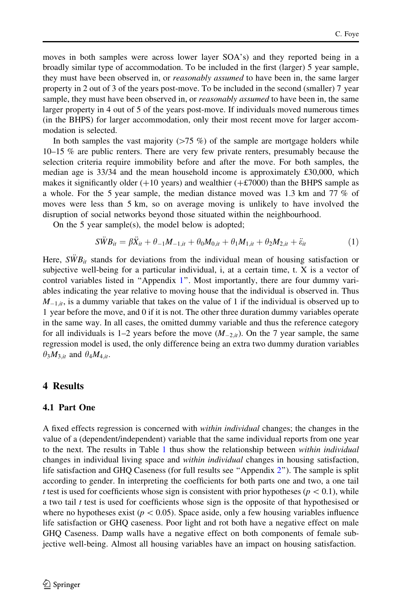moves in both samples were across lower layer SOA's) and they reported being in a broadly similar type of accommodation. To be included in the first (larger) 5 year sample, they must have been observed in, or *reasonably assumed* to have been in, the same larger property in 2 out of 3 of the years post-move. To be included in the second (smaller) 7 year sample, they must have been observed in, or *reasonably assumed* to have been in, the same larger property in 4 out of 5 of the years post-move. If individuals moved numerous times (in the BHPS) for larger accommodation, only their most recent move for larger accommodation is selected.

In both samples the vast majority ( $> 75 \%$ ) of the sample are mortgage holders while 10–15 % are public renters. There are very few private renters, presumably because the selection criteria require immobility before and after the move. For both samples, the median age is 33/34 and the mean household income is approximately £30,000, which makes it significantly older  $(+10 \text{ years})$  and wealthier  $(+\text{\textsterling}7000)$  than the BHPS sample as a whole. For the 5 year sample, the median distance moved was 1.3 km and 77 % of moves were less than 5 km, so on average moving is unlikely to have involved the disruption of social networks beyond those situated within the neighbourhood.

On the 5 year sample(s), the model below is adopted;

$$
S\ddot{W}B_{it} = \beta \ddot{X}_{it} + \theta_{-1}M_{-1,it} + \theta_0M_{0,it} + \theta_1M_{1,it} + \theta_2M_{2,it} + \ddot{\varepsilon}_{it}
$$
(1)

Here,  $\overline{SWB}_{it}$  stands for deviations from the individual mean of housing satisfaction or subjective well-being for a particular individual, i, at a certain time, t. X is a vector of control variables listed in ''Appendix [1'](#page-15-0)'. Most importantly, there are four dummy variables indicating the year relative to moving house that the individual is observed in. Thus  $M_{-1,i}$ , is a dummy variable that takes on the value of 1 if the individual is observed up to 1 year before the move, and 0 if it is not. The other three duration dummy variables operate in the same way. In all cases, the omitted dummy variable and thus the reference category for all individuals is 1–2 years before the move  $(M_{2,it})$ . On the 7 year sample, the same regression model is used, the only difference being an extra two dummy duration variables  $\theta_3 M_{3,it}$  and  $\theta_4 M_{4,it}$ .

#### 4 Results

#### 4.1 Part One

A fixed effects regression is concerned with *within individual* changes; the changes in the value of a (dependent/independent) variable that the same individual reports from one year to the next. The results in Table [1](#page-9-0) thus show the relationship between *within individual* changes in individual living space and *within individual* changes in housing satisfaction, life satisfaction and GHQ Caseness (for full results see "Appendix 2"). The sample is split according to gender. In interpreting the coefficients for both parts one and two, a one tail t test is used for coefficients whose sign is consistent with prior hypotheses ( $p<0.1$ ), while a two tail t test is used for coefficients whose sign is the opposite of that hypothesised or where no hypotheses exist ( $p < 0.05$ ). Space aside, only a few housing variables influence life satisfaction or GHQ caseness. Poor light and rot both have a negative effect on male GHQ Caseness. Damp walls have a negative effect on both components of female subjective well-being. Almost all housing variables have an impact on housing satisfaction.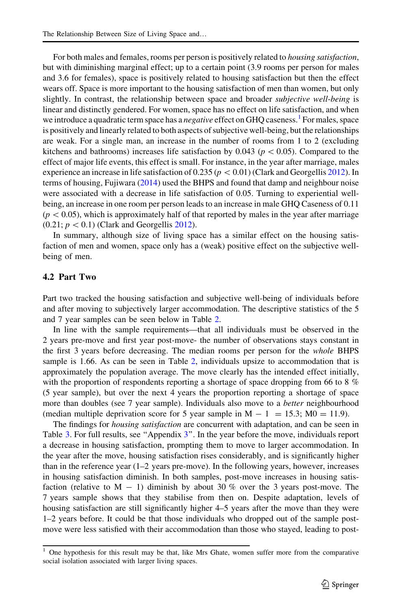For both males and females, rooms per person is positively related to housing satisfaction, but with diminishing marginal effect; up to a certain point (3.9 rooms per person for males and 3.6 for females), space is positively related to housing satisfaction but then the effect wears off. Space is more important to the housing satisfaction of men than women, but only slightly. In contrast, the relationship between space and broader *subjective well-being* is linear and distinctly gendered. For women, space has no effect on life satisfaction, and when we introduce a quadratic term space has a *negative* effect on GHQ caseness.<sup>1</sup> For males, space is positively and linearly related to both aspects of subjective well-being, but the relationships are weak. For a single man, an increase in the number of rooms from 1 to 2 (excluding kitchens and bathrooms) increases life satisfaction by 0.043 ( $p<0.05$ ). Compared to the effect of major life events, this effect is small. For instance, in the year after marriage, males experience an increase in life satisfaction of 0.235 ( $p < 0.01$ ) (Clark and Georgellis [2012\)](#page-34-0). In terms of housing, Fujiwara [\(2014](#page-34-0)) used the BHPS and found that damp and neighbour noise were associated with a decrease in life satisfaction of 0.05. Turning to experiential wellbeing, an increase in one room per person leads to an increase in male GHQ Caseness of 0.11  $(p<0.05)$ , which is approximately half of that reported by males in the year after marriage  $(0.21; p < 0.1)$  (Clark and Georgellis [2012](#page-34-0)).

In summary, although size of living space has a similar effect on the housing satisfaction of men and women, space only has a (weak) positive effect on the subjective wellbeing of men.

#### 4.2 Part Two

Part two tracked the housing satisfaction and subjective well-being of individuals before and after moving to subjectively larger accommodation. The descriptive statistics of the 5 and 7 year samples can be seen below in Table [2.](#page-12-0)

In line with the sample requirements—that all individuals must be observed in the 2 years pre-move and first year post-move- the number of observations stays constant in the first 3 years before decreasing. The median rooms per person for the whole BHPS sample is 1.66. As can be seen in Table [2,](#page-12-0) individuals upsize to accommodation that is approximately the population average. The move clearly has the intended effect initially, with the proportion of respondents reporting a shortage of space dropping from 66 to 8  $\%$ (5 year sample), but over the next 4 years the proportion reporting a shortage of space more than doubles (see 7 year sample). Individuals also move to a *better* neighbourhood (median multiple deprivation score for 5 year sample in  $M - 1 = 15.3$ ;  $M0 = 11.9$ ).

The findings for *housing satisfaction* are concurrent with adaptation, and can be seen in Table [3](#page-12-0). For full results, see "Appendix 3". In the year before the move, individuals report a decrease in housing satisfaction, prompting them to move to larger accommodation. In the year after the move, housing satisfaction rises considerably, and is significantly higher than in the reference year (1–2 years pre-move). In the following years, however, increases in housing satisfaction diminish. In both samples, post-move increases in housing satisfaction (relative to  $M - 1$ ) diminish by about 30 % over the 3 years post-move. The 7 years sample shows that they stabilise from then on. Despite adaptation, levels of housing satisfaction are still significantly higher 4–5 years after the move than they were 1–2 years before. It could be that those individuals who dropped out of the sample postmove were less satisfied with their accommodation than those who stayed, leading to post-

<sup>1</sup> One hypothesis for this result may be that, like Mrs Ghate, women suffer more from the comparative social isolation associated with larger living spaces.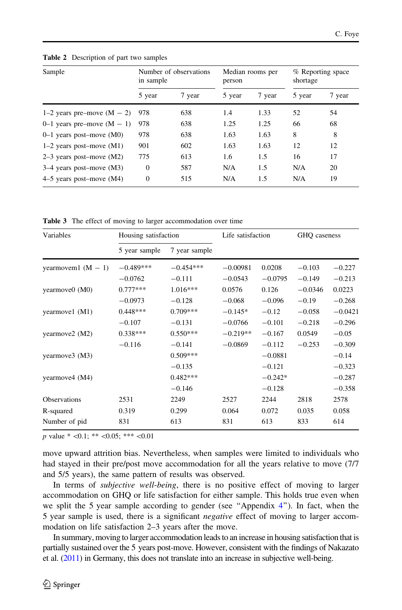| Sample                       | in sample | Number of observations | person | Median rooms per | shortage | % Reporting space |
|------------------------------|-----------|------------------------|--------|------------------|----------|-------------------|
|                              | 5 year    | 7 year                 | 5 year | 7 year           | 5 year   | 7 year            |
| 1–2 years pre–move $(M - 2)$ | 978       | 638                    | 1.4    | 1.33             | 52       | 54                |
| 0–1 years pre–move $(M - 1)$ | 978       | 638                    | 1.25   | 1.25             | 66       | 68                |
| $0-1$ years post-move (M0)   | 978       | 638                    | 1.63   | 1.63             | 8        | 8                 |
| $1-2$ years post-move $(M1)$ | 901       | 602                    | 1.63   | 1.63             | 12       | 12                |
| $2-3$ years post-move $(M2)$ | 775       | 613                    | 1.6    | 1.5              | 16       | 17                |
| $3-4$ years post-move (M3)   | $\Omega$  | 587                    | N/A    | 1.5              | N/A      | 20                |
| $4-5$ years post-move $(M4)$ | $\Omega$  | 515                    | N/A    | 1.5              | N/A      | 19                |

<span id="page-12-0"></span>Table 2 Description of part two samples

Table 3 The effect of moving to larger accommodation over time

| Variables            | Housing satisfaction |               | Life satisfaction |           | GHQ caseness |           |
|----------------------|----------------------|---------------|-------------------|-----------|--------------|-----------|
|                      | 5 year sample        | 7 year sample |                   |           |              |           |
| yearmovem1 $(M - 1)$ | $-0.489***$          | $-0.454***$   | $-0.00981$        | 0.0208    | $-0.103$     | $-0.227$  |
|                      | $-0.0762$            | $-0.111$      | $-0.0543$         | $-0.0795$ | $-0.149$     | $-0.213$  |
| yearmove0 (M0)       | $0.777***$           | $1.016***$    | 0.0576            | 0.126     | $-0.0346$    | 0.0223    |
|                      | $-0.0973$            | $-0.128$      | $-0.068$          | $-0.096$  | $-0.19$      | $-0.268$  |
| yearmove1 (M1)       | $0.448***$           | $0.709***$    | $-0.145*$         | $-0.12$   | $-0.058$     | $-0.0421$ |
|                      | $-0.107$             | $-0.131$      | $-0.0766$         | $-0.101$  | $-0.218$     | $-0.296$  |
| yearmove2 (M2)       | $0.338***$           | $0.550***$    | $-0.219**$        | $-0.167$  | 0.0549       | $-0.05$   |
|                      | $-0.116$             | $-0.141$      | $-0.0869$         | $-0.112$  | $-0.253$     | $-0.309$  |
| yearmove3 (M3)       |                      | $0.509***$    |                   | $-0.0881$ |              | $-0.14$   |
|                      |                      | $-0.135$      |                   | $-0.121$  |              | $-0.323$  |
| yearmove4 (M4)       |                      | $0.482***$    |                   | $-0.242*$ |              | $-0.287$  |
|                      |                      | $-0.146$      |                   | $-0.128$  |              | $-0.358$  |
| <b>Observations</b>  | 2531                 | 2249          | 2527              | 2244      | 2818         | 2578      |
| R-squared            | 0.319                | 0.299         | 0.064             | 0.072     | 0.035        | 0.058     |
| Number of pid        | 831                  | 613           | 831               | 613       | 833          | 614       |

p value  $*$  <0.1; \*\* <0.05; \*\*\* <0.01

move upward attrition bias. Nevertheless, when samples were limited to individuals who had stayed in their pre/post move accommodation for all the years relative to move (7/7 and 5/5 years), the same pattern of results was observed.

In terms of subjective well-being, there is no positive effect of moving to larger accommodation on GHQ or life satisfaction for either sample. This holds true even when we split the 5 year sample according to gender (see ''Appendix [4](#page-28-0)''). In fact, when the 5 year sample is used, there is a significant *negative* effect of moving to larger accommodation on life satisfaction 2–3 years after the move.

In summary, moving to larger accommodation leads to an increase in housing satisfaction that is partially sustained over the 5 years post-move. However, consistent with the findings of Nakazato et al. [\(2011](#page-35-0)) in Germany, this does not translate into an increase in subjective well-being.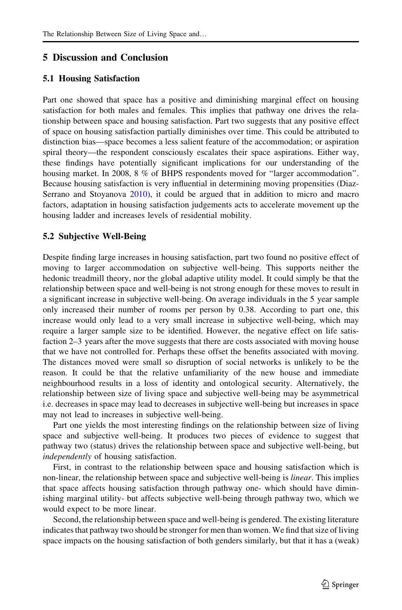#### 5 Discussion and Conclusion

#### 5.1 Housing Satisfaction

Part one showed that space has a positive and diminishing marginal effect on housing satisfaction for both males and females. This implies that pathway one drives the relationship between space and housing satisfaction. Part two suggests that any positive effect of space on housing satisfaction partially diminishes over time. This could be attributed to distinction bias—space becomes a less salient feature of the accommodation; or aspiration spiral theory—the respondent consciously escalates their space aspirations. Either way, these findings have potentially significant implications for our understanding of the housing market. In 2008, 8 % of BHPS respondents moved for ''larger accommodation''. Because housing satisfaction is very influential in determining moving propensities (Diaz-Serrano and Stoyanova [2010](#page-34-0)), it could be argued that in addition to micro and macro factors, adaptation in housing satisfaction judgements acts to accelerate movement up the housing ladder and increases levels of residential mobility.

#### 5.2 Subjective Well-Being

Despite finding large increases in housing satisfaction, part two found no positive effect of moving to larger accommodation on subjective well-being. This supports neither the hedonic treadmill theory, nor the global adaptive utility model. It could simply be that the relationship between space and well-being is not strong enough for these moves to result in a significant increase in subjective well-being. On average individuals in the 5 year sample only increased their number of rooms per person by 0.38. According to part one, this increase would only lead to a very small increase in subjective well-being, which may require a larger sample size to be identified. However, the negative effect on life satisfaction 2–3 years after the move suggests that there are costs associated with moving house that we have not controlled for. Perhaps these offset the benefits associated with moving. The distances moved were small so disruption of social networks is unlikely to be the reason. It could be that the relative unfamiliarity of the new house and immediate neighbourhood results in a loss of identity and ontological security. Alternatively, the relationship between size of living space and subjective well-being may be asymmetrical i.e. decreases in space may lead to decreases in subjective well-being but increases in space may not lead to increases in subjective well-being.

Part one yields the most interesting findings on the relationship between size of living space and subjective well-being. It produces two pieces of evidence to suggest that pathway two (status) drives the relationship between space and subjective well-being, but independently of housing satisfaction.

First, in contrast to the relationship between space and housing satisfaction which is non-linear, the relationship between space and subjective well-being is *linear*. This implies that space affects housing satisfaction through pathway one- which should have diminishing marginal utility- but affects subjective well-being through pathway two, which we would expect to be more linear.

Second, the relationship between space and well-being is gendered. The existing literature indicates that pathway two should be stronger for men than women. We find that size of living space impacts on the housing satisfaction of both genders similarly, but that it has a (weak)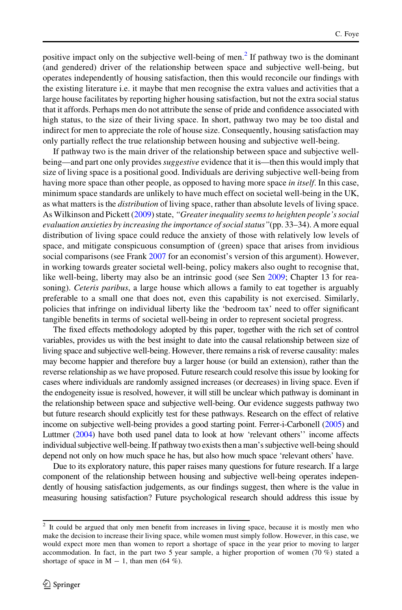positive impact only on the subjective well-being of men.<sup>2</sup> If pathway two is the dominant (and gendered) driver of the relationship between space and subjective well-being, but operates independently of housing satisfaction, then this would reconcile our findings with the existing literature i.e. it maybe that men recognise the extra values and activities that a large house facilitates by reporting higher housing satisfaction, but not the extra social status that it affords. Perhaps men do not attribute the sense of pride and confidence associated with high status, to the size of their living space. In short, pathway two may be too distal and indirect for men to appreciate the role of house size. Consequently, housing satisfaction may only partially reflect the true relationship between housing and subjective well-being.

If pathway two is the main driver of the relationship between space and subjective wellbeing—and part one only provides *suggestive* evidence that it is—then this would imply that size of living space is a positional good. Individuals are deriving subjective well-being from having more space than other people, as opposed to having more space in itself. In this case, minimum space standards are unlikely to have much effect on societal well-being in the UK, as what matters is the *distribution* of living space, rather than absolute levels of living space. As Wilkinson and Pickett ([2009\)](#page-35-0) state, "Greater inequality seems to heighten people's social evaluation anxieties by increasing the importance of social status''(pp. 33–34). A more equal distribution of living space could reduce the anxiety of those with relatively low levels of space, and mitigate conspicuous consumption of (green) space that arises from invidious social comparisons (see Frank [2007](#page-34-0) for an economist's version of this argument). However, in working towards greater societal well-being, policy makers also ought to recognise that, like well-being, liberty may also be an intrinsic good (see Sen [2009;](#page-35-0) Chapter 13 for reasoning). Ceteris paribus, a large house which allows a family to eat together is arguably preferable to a small one that does not, even this capability is not exercised. Similarly, policies that infringe on individual liberty like the 'bedroom tax' need to offer significant tangible benefits in terms of societal well-being in order to represent societal progress.

The fixed effects methodology adopted by this paper, together with the rich set of control variables, provides us with the best insight to date into the causal relationship between size of living space and subjective well-being. However, there remains a risk of reverse causality: males may become happier and therefore buy a larger house (or build an extension), rather than the reverse relationship as we have proposed. Future research could resolve this issue by looking for cases where individuals are randomly assigned increases (or decreases) in living space. Even if the endogeneity issue is resolved, however, it will still be unclear which pathway is dominant in the relationship between space and subjective well-being. Our evidence suggests pathway two but future research should explicitly test for these pathways. Research on the effect of relative income on subjective well-being provides a good starting point. Ferrer-i-Carbonell [\(2005\)](#page-34-0) and Luttmer ([2004\)](#page-34-0) have both used panel data to look at how 'relevant others'' income affects individual subjective well-being. If pathway two exists then a man's subjective well-being should depend not only on how much space he has, but also how much space 'relevant others' have.

Due to its exploratory nature, this paper raises many questions for future research. If a large component of the relationship between housing and subjective well-being operates independently of housing satisfaction judgements, as our findings suggest, then where is the value in measuring housing satisfaction? Future psychological research should address this issue by

<sup>&</sup>lt;sup>2</sup> It could be argued that only men benefit from increases in living space, because it is mostly men who make the decision to increase their living space, while women must simply follow. However, in this case, we would expect more men than women to report a shortage of space in the year prior to moving to larger accommodation. In fact, in the part two 5 year sample, a higher proportion of women (70 %) stated a shortage of space in  $M - 1$ , than men (64 %).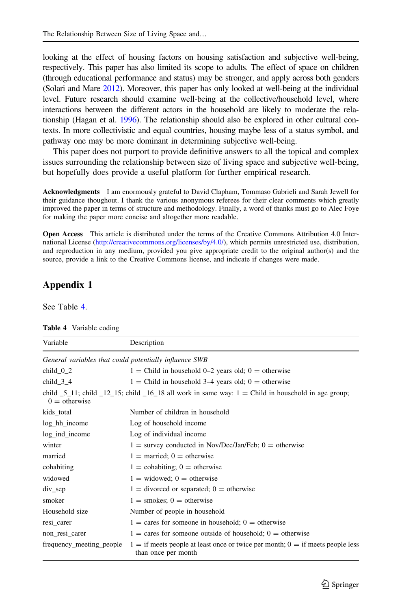<span id="page-15-0"></span>looking at the effect of housing factors on housing satisfaction and subjective well-being, respectively. This paper has also limited its scope to adults. The effect of space on children (through educational performance and status) may be stronger, and apply across both genders (Solari and Mare [2012\)](#page-35-0). Moreover, this paper has only looked at well-being at the individual level. Future research should examine well-being at the collective/household level, where interactions between the different actors in the household are likely to moderate the relationship (Hagan et al. [1996](#page-34-0)). The relationship should also be explored in other cultural contexts. In more collectivistic and equal countries, housing maybe less of a status symbol, and pathway one may be more dominant in determining subjective well-being.

This paper does not purport to provide definitive answers to all the topical and complex issues surrounding the relationship between size of living space and subjective well-being, but hopefully does provide a useful platform for further empirical research.

Acknowledgments I am enormously grateful to David Clapham, Tommaso Gabrieli and Sarah Jewell for their guidance thoughout. I thank the various anonymous referees for their clear comments which greatly improved the paper in terms of structure and methodology. Finally, a word of thanks must go to Alec Foye for making the paper more concise and altogether more readable.

Open Access This article is distributed under the terms of the Creative Commons Attribution 4.0 International License [\(http://creativecommons.org/licenses/by/4.0/\)](http://creativecommons.org/licenses/by/4.0/), which permits unrestricted use, distribution, and reproduction in any medium, provided you give appropriate credit to the original author(s) and the source, provide a link to the Creative Commons license, and indicate if changes were made.

#### Appendix 1

See Table 4.

| Variable                                               | Description                                                                                                                            |
|--------------------------------------------------------|----------------------------------------------------------------------------------------------------------------------------------------|
| General variables that could potentially influence SWB |                                                                                                                                        |
| child $0_2$                                            | $1 =$ Child in household 0–2 years old; 0 = otherwise                                                                                  |
| child $3\,4$                                           | $1 =$ Child in household 3–4 years old; 0 = otherwise                                                                                  |
| $0 =$ otherwise                                        | child $\overline{5}$ 11; child $\overline{12}$ 15; child $\overline{16}$ 18 all work in same way: 1 = Child in household in age group; |
| kids_total                                             | Number of children in household                                                                                                        |
| log_hh_income                                          | Log of household income                                                                                                                |
| log_ind_income                                         | Log of individual income                                                                                                               |
| winter                                                 | $1 =$ survey conducted in Nov/Dec/Jan/Feb; $0 =$ otherwise                                                                             |
| married                                                | $1 =$ married; 0 = otherwise                                                                                                           |
| cohabiting                                             | $1 =$ cohabiting; 0 = otherwise                                                                                                        |
| widowed                                                | $1 =$ widowed; $0 =$ otherwise                                                                                                         |
| $div\_sep$                                             | $1 =$ divorced or separated; $0 =$ otherwise                                                                                           |
| smoker                                                 | $1 =$ smokes; 0 = otherwise                                                                                                            |
| Household size                                         | Number of people in household                                                                                                          |
| resi_carer                                             | $1 = \text{cares}$ for someone in household; $0 = \text{otherwise}$                                                                    |
| non_resi_carer                                         | $1 = \text{cares}$ for someone outside of household; $0 = \text{otherwise}$                                                            |
| frequency_meeting_people                               | $1 =$ if meets people at least once or twice per month; $0 =$ if meets people less<br>than once per month                              |

Table 4 Variable coding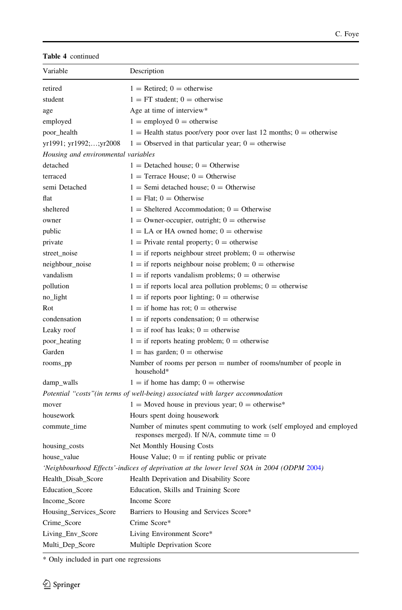| <b>Table 4</b> continued |  |
|--------------------------|--|
|--------------------------|--|

| Variable                            | Description                                                                                                            |
|-------------------------------------|------------------------------------------------------------------------------------------------------------------------|
| retired                             | $1 =$ Retired; 0 = otherwise                                                                                           |
| student                             | $1 = FT$ student; 0 = otherwise                                                                                        |
| age                                 | Age at time of interview*                                                                                              |
| employed                            | $1 =$ employed $0 =$ otherwise                                                                                         |
| poor_health                         | $1 =$ Health status poor/very poor over last 12 months; 0 = otherwise                                                  |
| yr1991; yr1992;;yr2008              | $1 =$ Observed in that particular year; $0 =$ otherwise                                                                |
| Housing and environmental variables |                                                                                                                        |
| detached                            | $1 =$ Detached house; 0 = Otherwise                                                                                    |
| terraced                            | $1 =$ Terrace House: $0 =$ Otherwise                                                                                   |
| semi Detached                       | $1 =$ Semi detached house: $0 =$ Otherwise                                                                             |
| flat                                | $1 =$ Flat: $0 =$ Otherwise                                                                                            |
| sheltered                           | $1 =$ Sheltered Accommodation; $0 =$ Otherwise                                                                         |
| owner                               | $1 =$ Owner-occupier, outright; $0 =$ otherwise                                                                        |
| public                              | $1 = LA$ or HA owned home; $0 =$ otherwise                                                                             |
| private                             | $1 =$ Private rental property; 0 = otherwise                                                                           |
| street_noise                        | $1 =$ if reports neighbour street problem; 0 = otherwise                                                               |
| neighbour_noise                     | $1 =$ if reports neighbour noise problem; 0 = otherwise                                                                |
| vandalism                           | $1 =$ if reports vandalism problems; 0 = otherwise                                                                     |
| pollution                           | $1 =$ if reports local area pollution problems; 0 = otherwise                                                          |
| no_light                            | $1 =$ if reports poor lighting; 0 = otherwise                                                                          |
| Rot                                 | $1 =$ if home has rot; 0 = otherwise                                                                                   |
| condensation                        | $1 =$ if reports condensation; 0 = otherwise                                                                           |
| Leaky roof                          | $1 =$ if roof has leaks; $0 =$ otherwise                                                                               |
| poor_heating                        | $1 =$ if reports heating problem; 0 = otherwise                                                                        |
| Garden                              | $1 =$ has garden; 0 = otherwise                                                                                        |
| rooms_pp                            | Number of rooms per person $=$ number of rooms/number of people in<br>household*                                       |
| damp_walls                          | $1 =$ if home has damp; $0 =$ otherwise                                                                                |
|                                     | Potential "costs" (in terms of well-being) associated with larger accommodation                                        |
| mover                               | $1 =$ Moved house in previous year; 0 = otherwise*                                                                     |
| housework                           | Hours spent doing housework                                                                                            |
| commute_time                        | Number of minutes spent commuting to work (self employed and employed<br>responses merged). If N/A, commute time $= 0$ |
| housing_costs                       | Net Monthly Housing Costs                                                                                              |
| house_value                         | House Value; $0 =$ if renting public or private                                                                        |
|                                     | 'Neighbourhood Effects'-indices of deprivation at the lower level SOA in 2004 (ODPM 2004)                              |
| Health_Disab_Score                  | Health Deprivation and Disability Score                                                                                |
| Education_Score                     | Education, Skills and Training Score                                                                                   |
| Income_Score                        | <b>Income Score</b>                                                                                                    |
| Housing_Services_Score              | Barriers to Housing and Services Score*                                                                                |
| Crime_Score                         | Crime Score*                                                                                                           |
| Living_Env_Score                    | Living Environment Score*                                                                                              |
| Multi Dep Score                     | Multiple Deprivation Score                                                                                             |

\* Only included in part one regressions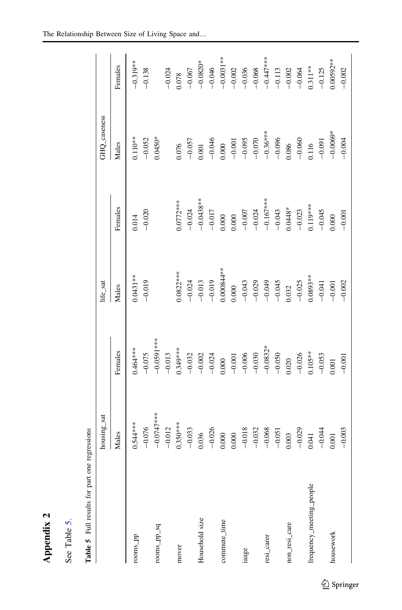| ₹ |
|---|
|   |
| ì |
| 1 |
|   |
|   |
|   |

| N<br>ď | ທ່     | ഋ<br>Full |
|--------|--------|-----------|
| ppen   | Table  | n         |
| ℯ      | $\sec$ | Table     |

| an comment of the comment<br>ŀ |
|--------------------------------|
| ne                             |
| r<br>C<br>$\ddot{\phantom{a}}$ |
| i                              |
| Š                              |
| į                              |
|                                |
|                                |

<span id="page-17-0"></span>

|                          | housing_sat   |              | life_sat             |             | GHQ_caseness |             |
|--------------------------|---------------|--------------|----------------------|-------------|--------------|-------------|
|                          | Males         | Females      | Males                | Females     | Males        | Females     |
| rooms_pp                 | $0.544***$    | $0.464***$   | $0.0431**$           | 0.014       | $0.110**$    | $-0.319**$  |
|                          | $-0.076$      | $-0.075$     | $-0.019$             | $-0.020$    | $-0.052$     | $-0.138$    |
| rooms_pp_sq              | $-0.0747$ *** | $-0.0591***$ |                      |             | $0.0450*$    |             |
|                          | $-0.012$      | $-0.013$     |                      |             |              | $-0.024$    |
| mover                    | $0.350***$    | $0.349***$   | $0.0822***$          | $0.0772***$ | 0.076        | 0.78        |
|                          | $-0.033$      | $-0.032$     | $-0.024$             | $-0.024$    | $-0.057$     | $-0.067$    |
| Household size           | 0.036         | $-0.002$     | $-0.013$             | $-0.0438**$ | 0.001        | $-0.0820*$  |
|                          | $-0.026$      | $-0.024$     | $-0.019$             | $-0.017$    | $-0.046$     | $-0.046$    |
| commute_time             | 0.000         | 0.000        | $0.000844**$         | 0.000       | 0.000        | $-0.0031**$ |
|                          | 0.000         | $-0.001$     | 0.000                | 0.000       | $-0.001$     | $-0.002$    |
| iaage                    | $-0.018$      | $-0.006$     | $-0.043$<br>$-0.029$ | $-0.007$    | $-0.095$     | $-0.036$    |
|                          | $-0.032$      | $-0.030$     |                      | $-0.024$    | $-0.070$     | $-0.068$    |
| resi_carer               | $-0.068$      | $-0.0832*$   | $-0.049$             | $-0.167***$ | $-0.36***$   | $-0.447***$ |
|                          | $-0.051$      | $-0.050$     | $-0.045$             | $-0.043$    | $-0.096$     | $-0.113$    |
| non_resi_care            | 0.003         | 0.020        | 0.032                | $0.0448*$   | 086.         | $-0.002$    |
|                          | $-0.029$      | $-0.026$     | $-0.025$             | $-0.023$    | $-0.060$     | $-0.064$    |
| frequency_meeting_people | 0.041         | $0.105***$   | $0.0893**$           | $0.119***$  | 0.116        | $0.311***$  |
|                          | $-0.044$      | $-0.053$     | $-0.041$             | $-0.045$    | $-0.091$     | $-0.125$    |
| housework                | 0.001         | 0.001        | $-0.001$             | 0.000       | $-0.0069*$   | $0.00592**$ |
|                          | $-0.003$      | $-0.001$     | $-0.002$             | $-0.001$    | $-0.004$     | $-0.002$    |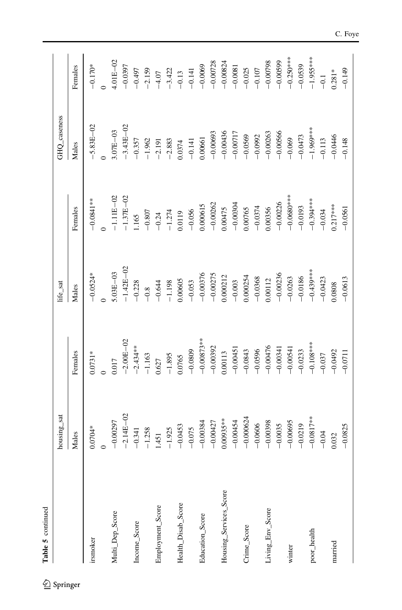| Table 5 continued      |               |               |                                                                 |                                                                                   |                      |                                       |
|------------------------|---------------|---------------|-----------------------------------------------------------------|-----------------------------------------------------------------------------------|----------------------|---------------------------------------|
|                        | housing_sat   |               | $\operatorname{life}\_ \operatorname{sat}$                      |                                                                                   | GHQ_caseness         |                                       |
|                        | Males         | Females       | Males                                                           | Females                                                                           | Males                | Females                               |
| irsmoker               | $0.0704*$     | $0.0731*$     | $-0.0524*$                                                      | $-0.0841**$                                                                       | $-5.83E - 02$        | $-0.170*$                             |
|                        |               |               |                                                                 |                                                                                   |                      |                                       |
| Multi_Dep_Score        | $-0.00297$    | 0.017         | $0.03E - 03$                                                    | $-1.11E - 02$                                                                     | $3.07E-03$           | $4.01E - 02$                          |
|                        | $-2.14E - 02$ | $-2.00E - 02$ | $-1.42E - 02$                                                   | $-1.37E - 02$                                                                     | $-3.43E - 02$        | $-0.0397$                             |
| Income_Score           | $-0.341$      | $-2.434**$    | $-0.228$                                                        | 1.165                                                                             | $-0.357$             | $-0.497$                              |
|                        | $-1.258$      | $-1.163$      |                                                                 |                                                                                   |                      |                                       |
| Employment_Score       | 1.451         | 0.627         | $-0.8$<br>$-0.644$                                              |                                                                                   | $-1.962$<br>$-2.191$ | $-2.159$<br>$-4.07$                   |
|                        | $-1.925$      | $-1.895$      | $-1.198$                                                        | $-0.807$<br>$-0.24$<br>$-1.274$                                                   | $-2.883$             | $-3.422$                              |
| Health_Disab_Score     | $-0.0453$     | 0.0765        | 0.00605                                                         |                                                                                   | 0.0374               |                                       |
|                        | $-0.075$      | $-0.0809$     | $-0.053$                                                        |                                                                                   | $-0.141$             | $-0.13$<br>$-0.141$                   |
| Education_Score        | $-0.00384$    | $-0.00873**$  |                                                                 |                                                                                   | 0.00661              |                                       |
|                        | $-0.00427$    | $-0.00392$    | $\begin{array}{r} -0.00376 \\ -0.00275 \\ 0.000212 \end{array}$ | $\begin{array}{r} 0.0119 \\ -0.056 \\ 0.000615 \\ -0.00262 \\ 0.0075 \end{array}$ | $-0.00693$           | $-0.0069$<br>$-0.00728$<br>$-0.00824$ |
| Housing_Services_Score | $0.00935***$  | 0.00113       |                                                                 |                                                                                   | $-0.00436$           |                                       |
|                        | $-0.00454$    | $-0.00451$    | $-0.003$                                                        |                                                                                   | $-0.00717$           |                                       |
| Crime_Score            | $-0.000624$   | $-0.0843$     | 0.000254                                                        | $-0.00304$<br>$0.00765$                                                           | $-0.0569$            | $-0.0081$<br>$-0.025$                 |
|                        | $-0.0606$     | $-0.0596$     | $-0.0368$                                                       | $-0.0374$                                                                         | $-0.0992$            | $-0.107$                              |
| Living_Env_Score       | $-0.00398$    | $-0.00476$    | 0.00112                                                         | 0.00356                                                                           | $-0.00263$           | $-0.00798$                            |
|                        | $-0.0035$     | $-0.00341$    | $-0.00236$                                                      | $-0.00226$                                                                        | $-0.00566$           | $-0.00599$                            |
| winter                 | $-0.00695$    | $-0.00541$    | $-0.0263$                                                       | $-0.0680***$                                                                      | $-0.069$             | $-0.250***$                           |
|                        | $-0.0219$     | $-0.0233$     | $-0.0186$                                                       | $-0.0193$                                                                         | $-0.0473$            | $-0.0539$                             |
| poor_health            | $-0.0817**$   | $-0.108***$   | $-0.439***$                                                     | $-0.394***$                                                                       | $-1.969***$          | $-1.955***$                           |
|                        | $-0.04$       | $-0.037$      | $-0.0423$                                                       | $-0.034$                                                                          | $-0.113$             | $-0.1$                                |
| married                | 0.032         | $-0.0492$     | 1.0808                                                          | $0.217***$                                                                        | $-0.0446$            | $0.281*$                              |
|                        | $-0.0825$     | $-0.0711$     | $-0.0613$                                                       | $-0.0561$                                                                         | $-0.148$             | $-0.149$                              |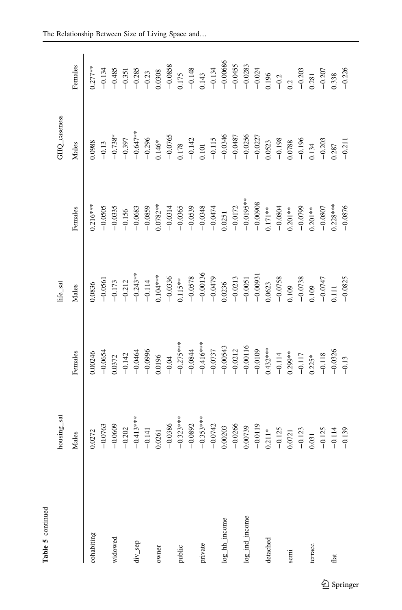| Table 5 continued  |                                                 |                                             |                                                                              |                                                   |                                                                       |                                                                               |
|--------------------|-------------------------------------------------|---------------------------------------------|------------------------------------------------------------------------------|---------------------------------------------------|-----------------------------------------------------------------------|-------------------------------------------------------------------------------|
|                    | housing_sat                                     |                                             | life_sat                                                                     |                                                   | <b>GHQ_caseness</b>                                                   |                                                                               |
|                    | Males                                           | Females                                     | Males                                                                        | Females                                           | Males                                                                 | Females                                                                       |
| cohabiting         | 0.0272                                          | 0.00246                                     | 0836                                                                         | $0.216***$                                        | 0.0988                                                                | $0.277***$                                                                    |
|                    | $-0.0763$                                       | $-0.0654$                                   | $-0.0561$                                                                    | $-0.0505$                                         | $-0.13$                                                               |                                                                               |
| widowed            | $-0.0609$                                       | 0.0372                                      | $-0.173$                                                                     | $-0.0335$                                         | $-0.738*$                                                             | $-0.134$<br>$-0.485$                                                          |
|                    | $-0.202$                                        | $-0.142$                                    |                                                                              | $-0.156$                                          | $-0.397$                                                              |                                                                               |
| div_sep            | $-0.413***$                                     | $-0.0464$                                   | $-0.212$<br>$-0.243***$                                                      | $-0.0683$                                         | $-0.647**$<br>$-0.296$<br>0.146*                                      | $-0.351$<br>$-0.285$<br>$-0.23$<br>$-0.23$<br>0.0308                          |
|                    | $-0.141$                                        | $-0.0996$<br>0.0196                         | $-0.114$<br>0.104***                                                         | $-0.0859$                                         |                                                                       |                                                                               |
| owner              | 0.0261                                          |                                             |                                                                              | $0.0782***$                                       |                                                                       |                                                                               |
|                    | $-0.0386$                                       |                                             |                                                                              | $-0.0314$                                         | $-0.0765$                                                             | $-0.0858$                                                                     |
| public             |                                                 | $-0.04$<br>$-0.275***$                      | $-0.0336$<br>0.115 <sup>**</sup><br>0.0578<br>$-0.00136$<br>0.0136<br>0.0236 | $-0.0365$<br>$-0.0539$                            |                                                                       |                                                                               |
|                    | $-0.323***$                                     |                                             |                                                                              |                                                   | $\frac{0.178}{-0.142}$                                                |                                                                               |
| private            | $-0.353***$                                     |                                             |                                                                              | $-0.0348$                                         |                                                                       | $\begin{array}{r} 0.175 \\ -0.148 \\ 0.143 \\ -0.134 \\ -0.00686 \end{array}$ |
|                    | $-0.0742$                                       | $-0.416***$<br>$-0.0737$<br>$-0.00543$      |                                                                              | $-0.0474$<br>0.0251                               |                                                                       |                                                                               |
| log_hh_income      | 0.00203                                         |                                             |                                                                              |                                                   |                                                                       |                                                                               |
|                    |                                                 |                                             |                                                                              |                                                   |                                                                       |                                                                               |
| $log\_ind\_income$ | $-0.0266$<br>0.00739                            | $-0.0212$<br>$-0.00116$                     | $\begin{array}{r} -0.0213 \\ -0.0051 \\ -0.00931 \\ -0.00931 \end{array}$    | $-0.0172$<br>$-0.0195**$<br>$-0.00908$<br>0.171** | 0.101<br>$-0.115$<br>$-0.0346$<br>$-0.0487$<br>$-0.0256$<br>$-0.0227$ | $\begin{array}{r} -0.0455 \\ -0.0283 \\ -0.024 \end{array}$                   |
|                    | $-0.0119$                                       | $-0.0109$                                   |                                                                              |                                                   |                                                                       |                                                                               |
| detached           | $0.211*$                                        | $0.432***$<br>-0.114<br>-0.299**<br>0.299** |                                                                              |                                                   |                                                                       |                                                                               |
|                    | $-0.125$                                        |                                             | $-0.0758$<br>0.109                                                           | $-0.0804$                                         | $\begin{array}{r} 0.0523 \\ -0.198 \\ 0.0788 \\ -0.196 \end{array}$   |                                                                               |
| semi               | $\begin{array}{c} 0.0721 \\ -0.123 \end{array}$ |                                             |                                                                              | $0.201***$<br>-0.0799                             |                                                                       |                                                                               |
|                    |                                                 |                                             | $-0.0738$<br>0.109                                                           |                                                   |                                                                       |                                                                               |
| terrace            | 1.031                                           | $0.225*$                                    |                                                                              | $0.201***$                                        | 1.134                                                                 | $\begin{array}{r} 0.196 \\ -0.2 \\ 0.2 \\ -0.203 \\ 0.281 \end{array}$        |
|                    | $-0.125$                                        |                                             | $-0.0747$<br>0.111                                                           | $-0.0807$                                         |                                                                       | $-0.207$                                                                      |
| flat               | $-0.114$                                        | $-0.118$<br>$-0.0326$                       |                                                                              | $0.228***$                                        | $\frac{-0.203}{0.287}$                                                | 0.338                                                                         |
|                    | $-0.139$                                        | $-0.13$                                     | $-0.0825$                                                                    | $-0.0876$                                         | $-0.211$                                                              | $-0.226$                                                                      |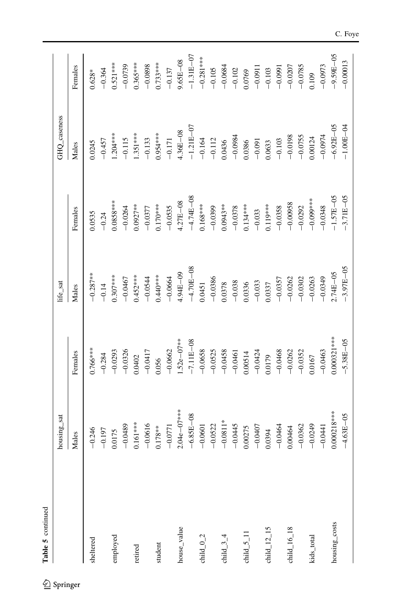| Table 5 continued                     |                 |                |               |                       |               |               |
|---------------------------------------|-----------------|----------------|---------------|-----------------------|---------------|---------------|
|                                       | housing_sat     |                | life_sat      |                       | GHQ_caseness  |               |
|                                       | Males           | Females        | Males         | Females               | Males         | Females       |
| sheltered                             | $-0.246$        | $0.766***$     | $-0.287***$   | 0.0535                | 0.0245        | $0.628*$      |
|                                       | $-0.197$        | $-0.284$       | $-0.14$       | $-0.24$               | $-0.457$      | $-0.364$      |
| employed                              | 0.0175          | $-0.0293$      | $0.307***$    | $0.0858***$           | $1.204***$    | $0.521***$    |
|                                       | $-0.0489$       | $-0.0326$      | $-0.0467$     | $-0.0264$             | $-0.115$      | $-0.0739$     |
| retired                               | $0.161***$      | 0.0402         | $0.452***$    | $0.0927***$           | $1.351***$    | $0.365***$    |
|                                       | $-0.0616$       | $-0.0417$      | $-0.0544$     | $-0.0377$             | $-0.133$      | $-0.0898$     |
| student                               | $0.178**$       | 0.056          | $0.440***$    | $0.170***$            | 1.954 ***     | $0.733***$    |
|                                       | $-0.0771$       | $-0.0662$      | $-0.0664$     | $-0.0535$             | $-0.171$      | $-0.137$      |
| house_value                           | $2.04e - 07***$ | $1.52e - 07**$ | 4.94E-09      | 4.27E-08              | $4.36E - 08$  | $9.65E - 08$  |
|                                       | $-6.85E - 08$   | $-7.11E - 08$  | $-4.70E - 08$ | $-4.74E - 08$         | $-1.21E - 07$ | $-1.31E - 07$ |
| child $_{-0.2}$                       | $-0.0601$       | $-0.0658$      | 0.0451        | $0.168***$            | $-0.164$      | $-0.281$ ***  |
|                                       | $-0.0522$       | $-0.0525$      | $-0.0386$     | $-0.0399$             | $-0.112$      | $-0.105$      |
| child $-3-4$                          | $-0.0811*$      | $-0.0458$      | 0.0378        | $0.0943**$            | 0.0436        | $-0.0684$     |
|                                       | $-0.0445$       | $-0.0461$      | $-0.038$      |                       | $-0.0984$     | $-0.102$      |
| child $5$ $\overline{\phantom{0}}$ 11 | 0.00275         | 0.00514        | 0.0336        | $-0.0378$<br>0.134*** | 0.0386        | 0.0769        |
|                                       | $-0.0407$       | $-0.0424$      | $-0.033$      | $-0.033$              | $-0.091$      | $-0.0911$     |
| child $\_12\_15$                      | 0.0394          | 0.0179         | 0.337         | $0.119***$            | 0.0633        | $-0.103$      |
|                                       | $-0.0464$       | $-0.0468$      | $-0.0357$     | $-0.0358$             | $-0.103$      | $-0.0991$     |
| $child_16_18$                         | 0.00464         | $-0.0262$      | $-0.0262$     | $-0.00958$            | $-0.0198$     | $-0.0207$     |
|                                       | $-0.0362$       | $-0.0352$      | $-0.0302$     | $-0.0292$             | $-0.0755$     | $-0.0785$     |
| kids_total                            | $-0.0249$       | 0.0167         | $-0.0263$     | $-0.099***$           | 0.00124       | 0.109         |
|                                       | $-0.0441$       | $-0.0463$      | $-0.0349$     | $-0.0348$             | $-0.0974$     | $-0.0973$     |
| housing_costs                         | $0.000218***$   | $0.000321***$  | .74E-05       | $-1.57E - 05$         | $-6.92E - 05$ | $-9.59E - 05$ |
|                                       | $-4.63E - 05$   | $-5.38E - 05$  | $-3.97E - 05$ | $-3.71E - 05$         | $-1.00E - 04$ | $-0.00013$    |

C. Foye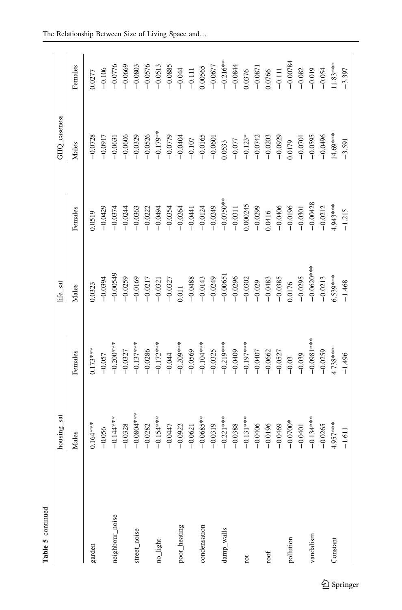| Table 5 continued |              |                          |                                                                                                |                                       |                          |                                   |
|-------------------|--------------|--------------------------|------------------------------------------------------------------------------------------------|---------------------------------------|--------------------------|-----------------------------------|
|                   | housing_sat  |                          | life_sat                                                                                       |                                       | GHQ_caseness             |                                   |
|                   | Males        | Females                  | Males                                                                                          | Females                               | Males                    | Females                           |
| garden            | $0.164***$   | $0.173***$               | 0323                                                                                           | 0.0519                                | $-0.0728$                | 0.0277                            |
|                   | $-0.056$     | $-0.057$                 | $-0.0394$                                                                                      | $-0.0429$                             | $-0.0917$                | $-0.106$                          |
| neighbour_noise   | $-0.144$ *** | $-0.200$ ***             | $-0.00549$                                                                                     | $-0.0374$                             | $-0.0631$                | $-0.0776$                         |
|                   | $-0.0328$    | $-0.0327$                | $-0.0259$                                                                                      | $-0.0244$                             | $-0.0606$                | $-0.0669$                         |
| street_noise      | $-0.0804***$ | $-0.137***$              | $-0.0169$                                                                                      | $-0.0363$                             | $-0.0329$                | $-0.0803$                         |
|                   | $-0.0282$    | $-0.0286$                | $-0.0217$                                                                                      |                                       |                          | $-0.0576$                         |
| no_light          | $-0.154***$  | $-0.172***$              | $-0.0321$                                                                                      | $-0.0222$<br>$-0.0494$                | $-0.0526$<br>$-0.179***$ | $-0.0513$                         |
|                   | $-0.0447$    | $-0.044$                 | $-0.0327$                                                                                      | $-0.0354$                             | $-0.0779$                |                                   |
| poor_heating      | $-0.0922$    | $-0.209***$              |                                                                                                | $-0.0264$<br>$-0.0441$                | $-0.0404$<br>$-0.107$    | $-0.0885$<br>$-0.044$<br>$-0.111$ |
|                   | $-0.0621$    |                          | $0.011 - 0.0488$                                                                               |                                       |                          |                                   |
| condensation      | $-0.0685***$ | $-0.101$ **              |                                                                                                |                                       | $-0.0165$                | 0.00565                           |
|                   | $-0.0319$    | $-0.0325$<br>$-0.219***$ | $\begin{array}{r} -0.0143 \\ -0.0249 \\ -0.00651 \\ -0.0296 \\ -0.0296 \\ -0.0302 \end{array}$ | $-0.0124$<br>$-0.0249$<br>$-0.0750**$ | $-0.0601$                | $-0.0677$<br>$-0.216***$          |
| damp_walls        | $-0.221***$  |                          |                                                                                                |                                       | 0533                     |                                   |
|                   | $-0.0388$    | $-0.0409$                |                                                                                                |                                       | $-0.077$                 | $-0.0844$                         |
| rot               | $-0.131***$  | $-0.197***$              |                                                                                                | $-0.0311$<br>0.000245<br>-0.0299      |                          | 0.0376                            |
|                   | $-0.0406$    | $-0.0407$                | $-0.029$                                                                                       |                                       | $-0.123*$<br>$-0.0742$   | $-0.0871$                         |
| roof              | $-0.0196$    | $-0.0662$                | $-0.0483$                                                                                      |                                       | $-0.0203$                | 0.0766                            |
|                   | $-0.0469$    | $-0.0527$                | $-0.0385$                                                                                      | $0.0416$<br>-0.0406<br>-0.0196        | $-0.0929$                | $-0.111$                          |
| pollution         | $-0.0700*$   | $-0.03$                  | 0.0176                                                                                         |                                       | 1.0179                   | $-0.00784$                        |
|                   | $-0.0401$    | $-0.039$                 | $-0.0295$                                                                                      | $-0.0301$                             | $-0.0701$                | $-0.082$                          |
| vandalism         | $-0.134***$  | $-0.0981***$             | $-0.0620$                                                                                      | $-0.00428$                            | $-0.0595$                | $-0.019$                          |
|                   | $-0.0265$    | $-0.0259$                | $-0.0213$                                                                                      | $-0.0212$                             | $-0.0496$                | $-0.054$                          |
| Constant          | 4.957****    | $1.738***$               | 5.539***                                                                                       | 1.943****                             | 14.69***                 | $11.83***$                        |
|                   | $-1.611$     | $-1.496$                 | $-1.468$                                                                                       | $-1.215$                              | $-3.591$                 | $-3.397$                          |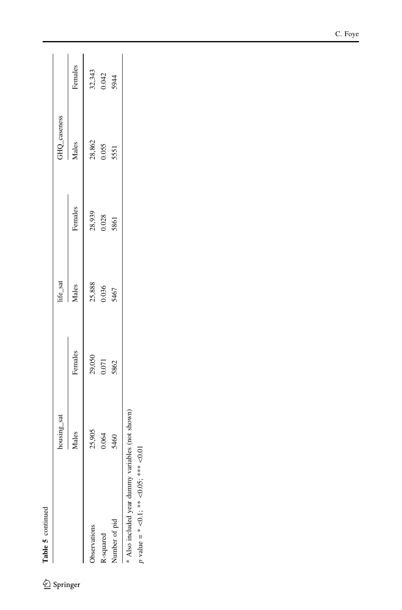| í<br>i |  |
|--------|--|
| ı      |  |

|                                                  | housing_sat |                 | life_sat |                 | GHQ_caseness |         |
|--------------------------------------------------|-------------|-----------------|----------|-----------------|--------------|---------|
|                                                  | Males       | Females         | Males    | Females         | Males        | Females |
| Observations                                     | 25,905      |                 | 25,888   |                 | 28,862       | 32,343  |
| R-squared                                        | 0.064       | 29,050<br>0.071 | 0.036    | 28,939<br>0.028 | 0.055        | 0.042   |
| Number of pid                                    | 5460        | 5862            | 5467     | 5861            | 5551         | 5944    |
| * Also included year dummy variables (not shown) |             |                 |          |                 |              |         |
| $p$ value = * <0.1; ** <0.05; *** <0.01          |             |                 |          |                 |              |         |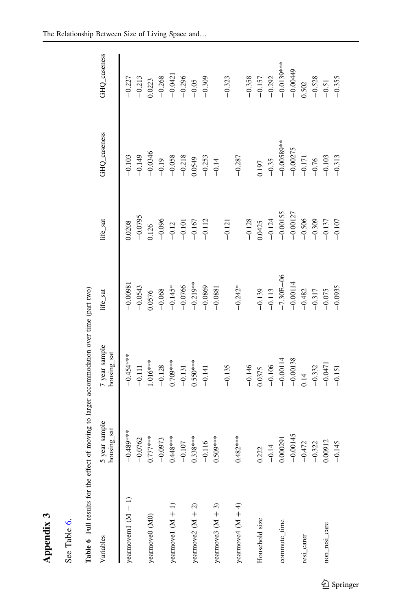| ۳ |
|---|
|   |
|   |
|   |
|   |
|   |

|    | Ψ,      |
|----|---------|
| Ó  | Ξ       |
| ತ  | م.<br>⊤ |
| ⊟  |         |
|    |         |
| ಹೆ | 高       |
|    | €       |

| ļ                                      |
|----------------------------------------|
| l                                      |
|                                        |
| $\ddotsc$<br>j<br>l                    |
| ֠<br>$\overline{a}$                    |
| C CASA AND C                           |
| j<br>$\frac{1}{2}$<br>j<br>ļ           |
| j<br>$\overline{\phantom{a}}$          |
| י<br>י                                 |
| Ì<br>١<br>i<br>֡֡֡֡                    |
| i                                      |
| l<br>۱                                 |
| ¢                                      |
| ı                                      |
| ı                                      |
| i<br>i                                 |
|                                        |
| ļ                                      |
| ٫                                      |
| $\overline{\phantom{a}}$<br>i<br>ׇ֚֚֘֕ |
| ı                                      |

<span id="page-23-0"></span>

| $-0.268$<br>$-0.296$<br>$-0.358$<br>$-0.528$<br>$-0.309$<br>$-0.323$<br>$-0.157$<br>$-0.292$<br>$-0.355$<br>$-0.213$<br>$-0.227$<br>0.0223<br>$-0.05$<br>0.502<br>$-0.51$<br>$-0.00589**$<br>$-0.00275$<br>$-0.0346$<br>$-0.149$<br>$-0.218$<br>$-0.058$<br>$-0.171$<br>$-0.103$<br>$-0.287$<br>$-0.103$<br>$-0.313$<br>$-0.253$<br>0.0549<br>$-0.76$<br>$-0.19$<br>$-0.14$<br>$-0.35$<br>0.197<br>$-0.00155$<br>$-0.00127$<br>$-0.0795$<br>$-0.506$<br>$-0.128$<br>$-0.124$<br>$-0.309$<br>$-0.096$<br>$-0.112$<br>$-0.137$<br>$-0.107$<br>$-0.167$<br>$-0.101$<br>$-0.121$<br>1.0425<br>0.0208<br>0.126<br>$-0.12$<br>$-7.30E - 06$<br>$-0.00114$<br>$-0.219***$<br>$-0.00981$<br>$-0.0766$<br>$-0.0869$<br>$-0.242*$<br>$-0.0543$<br>$-0.145*$<br>$-0.0935$<br>$-0.0881$<br>$-0.068$<br>$-0.482$<br>$-0.075$<br>$-0.139$<br>$-0.113$<br>$-0.317$<br>0.0576<br>$-0.454***$<br>$-0.00138$<br>$-0.00114$<br>$1.016***$<br>$0.709***$<br>$0.550***$<br>$-0.0471$<br>$-0.106$<br>$-0.128$<br>$-0.146$<br>$-0.135$<br>$-0.332$<br>$-0.131$<br>$-0.111$<br>$-0.141$<br>0.0375<br>$-0.151$<br>0.14<br>$-0.489$ ***<br>$-0.00145$<br>$0.777***$<br>$0.482***$<br>$0.448***$<br>$0.509***$<br>$0.338***$<br>$-0.0762$<br>$-0.0973$<br>0.000291<br>0.00912<br>$-0.116$<br>$-0.472$<br>$-0.107$<br>$-0.322$<br>$-0.145$<br>$-0.14$<br>0.222<br>yearnovem $1(M - 1)$<br>yearnove2 $(M + 2)$<br>yearmove<br>4 (M $+4$ )<br>yearmove3 $(M + 3)$<br>yearmove $1(M + 1)$<br>yearmove0 (M0)<br>Household size<br>commute_time<br>non_resi_care<br>resi_carer | Variables | year sample<br>5 year sample<br>housing_sat | 7 year sample<br>housing_sat | life_sat | life_sat | GHQ_caseness | GHQ_caseness |
|-----------------------------------------------------------------------------------------------------------------------------------------------------------------------------------------------------------------------------------------------------------------------------------------------------------------------------------------------------------------------------------------------------------------------------------------------------------------------------------------------------------------------------------------------------------------------------------------------------------------------------------------------------------------------------------------------------------------------------------------------------------------------------------------------------------------------------------------------------------------------------------------------------------------------------------------------------------------------------------------------------------------------------------------------------------------------------------------------------------------------------------------------------------------------------------------------------------------------------------------------------------------------------------------------------------------------------------------------------------------------------------------------------------------------------------------------------------------------------------------------------------------------------------------------|-----------|---------------------------------------------|------------------------------|----------|----------|--------------|--------------|
|                                                                                                                                                                                                                                                                                                                                                                                                                                                                                                                                                                                                                                                                                                                                                                                                                                                                                                                                                                                                                                                                                                                                                                                                                                                                                                                                                                                                                                                                                                                                               |           |                                             |                              |          |          |              |              |
|                                                                                                                                                                                                                                                                                                                                                                                                                                                                                                                                                                                                                                                                                                                                                                                                                                                                                                                                                                                                                                                                                                                                                                                                                                                                                                                                                                                                                                                                                                                                               |           |                                             |                              |          |          |              |              |
|                                                                                                                                                                                                                                                                                                                                                                                                                                                                                                                                                                                                                                                                                                                                                                                                                                                                                                                                                                                                                                                                                                                                                                                                                                                                                                                                                                                                                                                                                                                                               |           |                                             |                              |          |          |              |              |
|                                                                                                                                                                                                                                                                                                                                                                                                                                                                                                                                                                                                                                                                                                                                                                                                                                                                                                                                                                                                                                                                                                                                                                                                                                                                                                                                                                                                                                                                                                                                               |           |                                             |                              |          |          |              |              |
|                                                                                                                                                                                                                                                                                                                                                                                                                                                                                                                                                                                                                                                                                                                                                                                                                                                                                                                                                                                                                                                                                                                                                                                                                                                                                                                                                                                                                                                                                                                                               |           |                                             |                              |          |          |              | $-0.0421$    |
|                                                                                                                                                                                                                                                                                                                                                                                                                                                                                                                                                                                                                                                                                                                                                                                                                                                                                                                                                                                                                                                                                                                                                                                                                                                                                                                                                                                                                                                                                                                                               |           |                                             |                              |          |          |              |              |
|                                                                                                                                                                                                                                                                                                                                                                                                                                                                                                                                                                                                                                                                                                                                                                                                                                                                                                                                                                                                                                                                                                                                                                                                                                                                                                                                                                                                                                                                                                                                               |           |                                             |                              |          |          |              |              |
|                                                                                                                                                                                                                                                                                                                                                                                                                                                                                                                                                                                                                                                                                                                                                                                                                                                                                                                                                                                                                                                                                                                                                                                                                                                                                                                                                                                                                                                                                                                                               |           |                                             |                              |          |          |              |              |
|                                                                                                                                                                                                                                                                                                                                                                                                                                                                                                                                                                                                                                                                                                                                                                                                                                                                                                                                                                                                                                                                                                                                                                                                                                                                                                                                                                                                                                                                                                                                               |           |                                             |                              |          |          |              |              |
|                                                                                                                                                                                                                                                                                                                                                                                                                                                                                                                                                                                                                                                                                                                                                                                                                                                                                                                                                                                                                                                                                                                                                                                                                                                                                                                                                                                                                                                                                                                                               |           |                                             |                              |          |          |              |              |
|                                                                                                                                                                                                                                                                                                                                                                                                                                                                                                                                                                                                                                                                                                                                                                                                                                                                                                                                                                                                                                                                                                                                                                                                                                                                                                                                                                                                                                                                                                                                               |           |                                             |                              |          |          |              |              |
|                                                                                                                                                                                                                                                                                                                                                                                                                                                                                                                                                                                                                                                                                                                                                                                                                                                                                                                                                                                                                                                                                                                                                                                                                                                                                                                                                                                                                                                                                                                                               |           |                                             |                              |          |          |              |              |
|                                                                                                                                                                                                                                                                                                                                                                                                                                                                                                                                                                                                                                                                                                                                                                                                                                                                                                                                                                                                                                                                                                                                                                                                                                                                                                                                                                                                                                                                                                                                               |           |                                             |                              |          |          |              |              |
|                                                                                                                                                                                                                                                                                                                                                                                                                                                                                                                                                                                                                                                                                                                                                                                                                                                                                                                                                                                                                                                                                                                                                                                                                                                                                                                                                                                                                                                                                                                                               |           |                                             |                              |          |          |              |              |
|                                                                                                                                                                                                                                                                                                                                                                                                                                                                                                                                                                                                                                                                                                                                                                                                                                                                                                                                                                                                                                                                                                                                                                                                                                                                                                                                                                                                                                                                                                                                               |           |                                             |                              |          |          |              | $-0.0139***$ |
|                                                                                                                                                                                                                                                                                                                                                                                                                                                                                                                                                                                                                                                                                                                                                                                                                                                                                                                                                                                                                                                                                                                                                                                                                                                                                                                                                                                                                                                                                                                                               |           |                                             |                              |          |          |              | $-0.00449$   |
|                                                                                                                                                                                                                                                                                                                                                                                                                                                                                                                                                                                                                                                                                                                                                                                                                                                                                                                                                                                                                                                                                                                                                                                                                                                                                                                                                                                                                                                                                                                                               |           |                                             |                              |          |          |              |              |
|                                                                                                                                                                                                                                                                                                                                                                                                                                                                                                                                                                                                                                                                                                                                                                                                                                                                                                                                                                                                                                                                                                                                                                                                                                                                                                                                                                                                                                                                                                                                               |           |                                             |                              |          |          |              |              |
|                                                                                                                                                                                                                                                                                                                                                                                                                                                                                                                                                                                                                                                                                                                                                                                                                                                                                                                                                                                                                                                                                                                                                                                                                                                                                                                                                                                                                                                                                                                                               |           |                                             |                              |          |          |              |              |
|                                                                                                                                                                                                                                                                                                                                                                                                                                                                                                                                                                                                                                                                                                                                                                                                                                                                                                                                                                                                                                                                                                                                                                                                                                                                                                                                                                                                                                                                                                                                               |           |                                             |                              |          |          |              |              |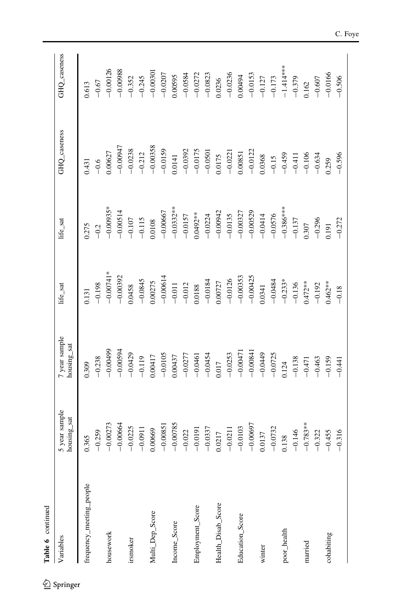| Table 6 continued        |                              |                              |             |             |              |              |
|--------------------------|------------------------------|------------------------------|-------------|-------------|--------------|--------------|
| Variables                | 5 year sample<br>housing_sat | 7 year sample<br>housing_sat | life_sat    | life_sat    | GHQ_caseness | GHQ_caseness |
| frequency_meeting_people | 0.365                        | 0.309                        | 0.131       | 0.275       | 0.431        | 0.613        |
|                          | $-0.259$                     | $-0.238$                     | $-0.198$    | $-0.2$      | $-0.6$       | $-0.67$      |
| housework                | $-0.00273$                   | $-0.00499$                   | $-0.00741*$ | $-0.00935*$ | 0.00627      | $-0.00126$   |
|                          | $-0.00664$                   | $-0.00594$                   | $-0.00392$  | $-0.00514$  | $-0.00947$   | $-0.00988$   |
| irsmoker                 | $-0.0225$                    | $-0.0429$                    | 0.0458      | $-0.107$    | $-0.0238$    | $-0.352$     |
|                          | $-0.0911$                    | $-0.119$                     | $-0.0845$   | $-0.115$    | $-0.212$     | $-0.245$     |
| Multi_Dep_Score          | 0.00669                      | 0.00417                      | 0.00275     | 0.0108      | $-0.00358$   | $-0.00301$   |
|                          | $-0.00851$                   | $-0.0105$                    | $-0.00614$  | $-0.00667$  | $-0.0159$    | $-0.0207$    |
| Income_Score             | $-0.00785$                   | 0.00437                      | $-0.011$    | $-0.0332**$ | 0.0141       | 0.00595      |
|                          | $-0.022$                     | $-0.0277$                    | $-0.012$    | $-0.0157$   | $-0.0392$    | $-0.0584$    |
| Employment_Score         | $-0.0191$                    | $-0.0461$                    | 0.0188      | $0.0492***$ | $-0.0175$    | $-0.0272$    |
|                          | $-0.0337$                    | $-0.0454$                    | $-0.0184$   | $-0.0224$   | $-0.0501$    | $-0.0823$    |
| Health_Disab_Score       | 0.0217                       | 0.017                        | 0.00727     | $-0.00942$  | 0.0175       | 0.0236       |
|                          | $-0.0211$                    | $-0.0253$                    | $-0.0126$   | $-0.0135$   | $-0.0221$    | $-0.0236$    |
| Education_Score          | $-0.0103$                    | $-0.00471$                   | $-0.00353$  | $-0.00327$  | 0.00851      | 0.00494      |
|                          | $-0.00697$                   | $-0.00841$                   | $-0.00425$  | $-0.00529$  | $-0.0122$    | $-0.0153$    |
| winter                   | 0.0137                       | $-0.0449$                    | 1.0341      | $-0.0414$   | 0.0368       | $-0.127$     |
|                          | $-0.0732$                    | $-0.0725$                    | $-0.0484$   | $-0.0576$   | $-0.15$      | $-0.173$     |
| poor_health              | 0.138                        | 0.124                        | $-0.233*$   | $-0.386***$ | $-0.459$     | $-1.414***$  |
|                          | $-0.146$                     | $-0.138$                     | $-0.136$    | $-0.137$    | $-0.411$     | $-0.379$     |
| married                  | $-0.783**$                   | $-0.471$                     | $0.472***$  | 0.307       | $-0.106$     | 0.162        |
|                          | $-0.322$                     | $-0.463$                     | $-0.192$    | $-0.296$    | $-0.634$     | $-0.607$     |
| cohabiting               | $-0.455$                     | $-0.159$                     | $0.462**$   | 0.191       | 0.259        | $-0.0166$    |
|                          | $-0.316$                     | $-0.441$                     | $-0.18$     | $-0.272$    | $-0.596$     | $-0.506$     |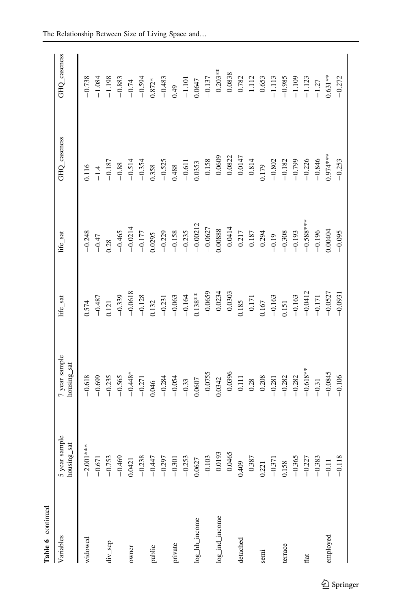| Table 6 continued |                                        |                                                           |                                                                                                         |                                                          |                       |                                                                                                              |
|-------------------|----------------------------------------|-----------------------------------------------------------|---------------------------------------------------------------------------------------------------------|----------------------------------------------------------|-----------------------|--------------------------------------------------------------------------------------------------------------|
| Variables         | 5 year sample<br>housing_sat<br>ng_sat | 7 year sample<br>housing_sat                              | life_sat                                                                                                | life_sat                                                 | GHQ_caseness          | GHQ_caseness                                                                                                 |
| widowed           | $-2.001***$                            | $-0.618$                                                  | 0.574                                                                                                   | $-0.248$                                                 | 1.116                 | $-0.738$                                                                                                     |
|                   | $-0.671$<br>-0.753                     | $-0.699$                                                  | $-0.487$                                                                                                | $-0.47$                                                  |                       |                                                                                                              |
| div_sep           |                                        |                                                           |                                                                                                         | 0.28                                                     | $-1.4$<br>$-0.187$    | $\begin{array}{r} -1.084 \\ -1.198 \\ -0.833 \\ -0.594 \\ -0.594 \\ 0.872^* \\ -0.594 \\ -0.483 \end{array}$ |
|                   | $-0.469$                               |                                                           |                                                                                                         | $-0.465$                                                 |                       |                                                                                                              |
| owner             | 0.0421                                 | $-0.235$<br>$-0.565$<br>$-0.448$ *                        | 0.121<br>$-0.339$<br>$-0.0618$<br>$-0.0618$<br>$-0.128$<br>$-0.132$<br>$-0.231$<br>$-0.063$<br>$-0.063$ | $-0.0214$                                                | $-0.88$<br>$-0.514$   |                                                                                                              |
|                   | $-0.238$                               | $-0.271$                                                  |                                                                                                         |                                                          | $-0.354$              |                                                                                                              |
| public            | $-0.44$                                | 0.046                                                     |                                                                                                         | $-0.177$<br>0.0295                                       | 0.358                 |                                                                                                              |
|                   | $-0.29$                                | $-0.284$                                                  |                                                                                                         | $-0.229$                                                 | $-0.525$              |                                                                                                              |
| private           | $-0.30$                                | $-0.054$<br>$-0.33$<br>0.0607                             |                                                                                                         | $-0.158$<br>$-0.235$<br>$-0.00212$                       | 0.488                 |                                                                                                              |
|                   | $-0.25$                                |                                                           |                                                                                                         |                                                          | $-0.611$              | $0.49$<br>-1.101<br>0.0647                                                                                   |
| log_hh_income     | 0.0627                                 |                                                           |                                                                                                         |                                                          | 0.0353                |                                                                                                              |
|                   | $-0.103$                               |                                                           | $-0.0659$<br>$-0.0234$<br>$-0.0303$                                                                     |                                                          | $-0.158$              |                                                                                                              |
| log_ind_income    | $-0.0193$                              | $-0.0755$<br>0.0342                                       |                                                                                                         |                                                          | $-0.0609$             |                                                                                                              |
|                   | $-0.0465$                              | $-0.0396$                                                 |                                                                                                         | $-0.0627$<br>0.00888<br>$-0.0414$                        | $-0.0822$             | $-0.137$<br>$-0.203**$<br>$-0.0838$                                                                          |
| detached          | 0.409                                  |                                                           |                                                                                                         |                                                          |                       |                                                                                                              |
|                   | $-0.387$                               |                                                           |                                                                                                         |                                                          | $-0.0147$<br>$-0.814$ |                                                                                                              |
| semi              | 0.221                                  | $\begin{array}{r} -0.111 \\ -0.28 \\ -0.208 \end{array}$  | $\begin{array}{c} 0.185 \\ -0.171 \\ 0.167 \end{array}$                                                 | $-0.217$<br>$-0.187$<br>$-0.294$                         | 1.179                 | $-0.782$<br>-1.112<br>-0.653                                                                                 |
|                   | $-0.371$                               |                                                           |                                                                                                         |                                                          | $-0.802\,$            |                                                                                                              |
| terrace           | 0.158                                  |                                                           |                                                                                                         | $\begin{array}{r} -0.19 \\ -0.308 \\ -0.193 \end{array}$ | $-0.182$              |                                                                                                              |
|                   | $-0.36$                                | $\begin{array}{r} -0.281 \\ -0.282 \\ -0.282 \end{array}$ | $\frac{-0.163}{0.151}$<br>-0.163                                                                        |                                                          | $-0.799$              | $-1.113$<br>$-0.985$<br>$-1.109$                                                                             |
| flat              | $-0.22$                                | $-0.618***$                                               | $-0.0412$<br>$-0.171$<br>$-0.0527$                                                                      | $-0.588***$                                              | $-0.226$<br>$-0.846$  | $-1.123$<br>-1.27                                                                                            |
|                   | $-0.38$                                | $-0.31$                                                   |                                                                                                         | $-0.196$                                                 |                       |                                                                                                              |
| employed          | $-0.11$                                | $-0.0845$                                                 |                                                                                                         | 0.00404                                                  | 9.974****             | $0.631**$                                                                                                    |
|                   | $-0.11$                                | $-0.106$                                                  | $-0.0931$                                                                                               | $-0.095$                                                 | $-0.253$              | $-0.272$                                                                                                     |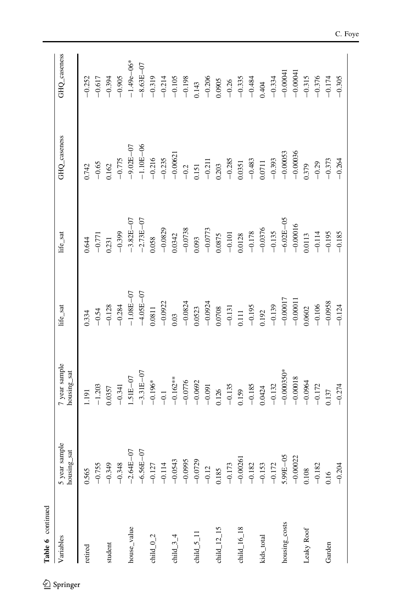| Table 6 continued                     |                              |                                                                             |                       |                                                            |                                                           |                                                                   |
|---------------------------------------|------------------------------|-----------------------------------------------------------------------------|-----------------------|------------------------------------------------------------|-----------------------------------------------------------|-------------------------------------------------------------------|
| Variables                             | 5 year sample<br>housing_sat | year sample<br>housing_sat                                                  | life_sat              | life_sat                                                   | GHQ_caseness                                              | GHQ_caseness                                                      |
| retired                               | 0.565                        | 191                                                                         | 1334                  | ).644                                                      | 0.742                                                     | $-0.252$                                                          |
|                                       | $-0.755$                     | $-1.203$                                                                    | $-0.54$               | $-0.771$                                                   | $-0.65$                                                   | $-0.617$                                                          |
| student                               | $-0.349$                     | 0357                                                                        |                       |                                                            |                                                           |                                                                   |
|                                       | $-0.348$                     | $-0.341$                                                                    | $-0.128$<br>$-0.284$  | $\begin{array}{c} 0.231 \\ -0.399 \end{array}$             |                                                           | $-0.394$<br>$-0.905$                                              |
| house_value                           | $-2.64E - 07$                | $1.51E-07$                                                                  | $-1.08E - 07$         | $-3.82E - 07$                                              | $0.162$<br>-0.775<br>-9.02E-07                            | $-1.49e - 06*$                                                    |
|                                       | $-6.56E - 07$                |                                                                             | $-4.05E - 07$         | $-2.73E - 07$                                              |                                                           |                                                                   |
| child $_{-0.2}$                       | $-0.127$                     | $-3.31E-07$<br>$-0.196*$<br>$-0.1$<br>$-0.162**$<br>$-0.0776$<br>$-0.00692$ | 0.0811                | 0.058                                                      | $-1.10E-06$<br>-0.216<br>-0.235                           | $-8.63E - 07$<br>-0.319                                           |
|                                       | $-0.114$                     |                                                                             | $-0.0922$             | $-0.0829$                                                  |                                                           | $-0.214$                                                          |
| child $34$                            | $-0.0543$                    |                                                                             | 0.03                  | $\begin{array}{c} 0.0342 \\ -0.0738 \end{array}$           | $-0.00621$<br>$-0.2$<br>0.151                             |                                                                   |
|                                       | $-0.0995$                    |                                                                             | $-0.0824$             |                                                            |                                                           |                                                                   |
| child $_5$ _11                        | $-0.0729$                    |                                                                             | 0.0523                | 0.093                                                      |                                                           | $\frac{-0.105}{-0.198}$<br>0.143                                  |
|                                       | $-0.12$                      |                                                                             | $-0.0924$<br>0.0708   | $\frac{-0.0773}{0.0875}$                                   |                                                           | $-0.206$<br>0.0905<br>$-0.26$<br>$-0.335$<br>$-0.335$<br>$-0.484$ |
| child $\_12\_15$                      | 0.185                        | $-0.091$<br>0.126                                                           |                       |                                                            | $\frac{-0.211}{0.203}$<br>-0.285                          |                                                                   |
|                                       | $-0.173$                     | $-0.135$                                                                    | $-0.131$              |                                                            |                                                           |                                                                   |
| child $16$ <sub><math>18</math></sub> | $-0.0026$                    | 0.159                                                                       | $0.111$               |                                                            |                                                           |                                                                   |
|                                       | $-0.182$                     |                                                                             | $-0.195$<br>0.192     |                                                            | $\begin{array}{c} 0.0351 \\ -0.483 \\ 0.0711 \end{array}$ |                                                                   |
| kids_total                            | $-0.153$                     | $-0.185$<br>0.0424                                                          |                       | $\begin{array}{r} 0.0128 \\ -0.178 \\ -0.0376 \end{array}$ |                                                           |                                                                   |
|                                       | $-0.172$                     | $-0.132$                                                                    | $-0.139$              | $-0.135$                                                   | $-0.393$                                                  | $-0.334$                                                          |
| housing_costs                         | $5.99E - 05$                 | $-0.000350*$                                                                | $-0.00017$            | $-6.02E - 05$                                              | $-0.00053$                                                | $-0.00041$                                                        |
|                                       | $-0.00022$                   | $-0.00018$                                                                  | $-0.00011$            | $-0.00016$                                                 | $-0.00036$                                                |                                                                   |
| Leaky Roof                            | 0.108                        | $-0.0964$                                                                   | 0.0602                | 1.0113                                                     | 0.379                                                     | $-0.315$                                                          |
|                                       | $-0.182$                     | $-0.172$                                                                    | $-0.106$<br>$-0.0958$ | $-0.114$                                                   | $-0.29$                                                   |                                                                   |
| Garden                                | 0.16                         | 0.137                                                                       |                       | $-0.195$                                                   | $-0.373$                                                  | $-0.376$<br>$-0.174$                                              |
|                                       | $-0.204$                     | $-0.274$                                                                    | $-0.124$              | $-0.185$                                                   | $-0.264$                                                  | $-0.305$                                                          |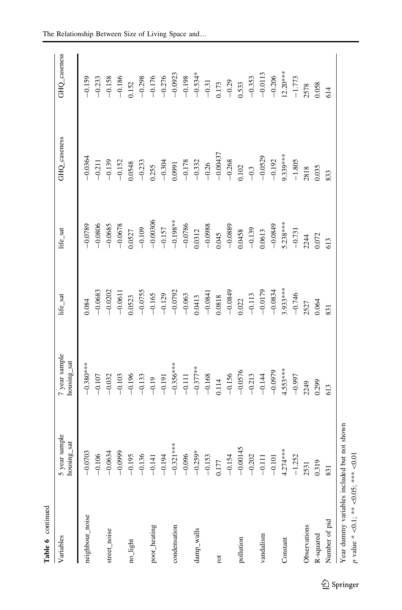| Table 6 continued                           |                                      |                                     |                                                             |                                   |                                                           |                                                                                                                                   |
|---------------------------------------------|--------------------------------------|-------------------------------------|-------------------------------------------------------------|-----------------------------------|-----------------------------------------------------------|-----------------------------------------------------------------------------------------------------------------------------------|
| Variables                                   | sample<br>ng_sat<br>5 year<br>housin | <i>l</i> year sample<br>housing_sat | life_sat                                                    | life_sat                          | GHQ_caseness                                              | GHQ_caseness                                                                                                                      |
| neighbour_noise                             | $-0.0703$                            | $-0.380***$                         | 0.084                                                       | $-0.0789$                         | $-0.0364$                                                 | $-0.159$                                                                                                                          |
|                                             | $-0.106$<br>$-0.0634$                | $-0.107$                            | $-0.0683$                                                   | $-0.0806$                         | $-0.211$                                                  | $-0.233$                                                                                                                          |
| street_noise                                |                                      | $-0.032$                            | $-0.0202$                                                   | $-0.0685$                         | $-0.139$                                                  |                                                                                                                                   |
|                                             | $-0.0999$                            | $-0.103$                            | $-0.0611$                                                   | $-0.0678$                         | $-0.152$                                                  |                                                                                                                                   |
| no_light                                    | $-0.195$                             | $-0.196$                            | 0.0523                                                      | 1.0527                            | 0.0548                                                    | $-0.158$<br>$-0.186$<br>0.152                                                                                                     |
|                                             | $-0.13$                              |                                     | $-0.0755$                                                   | $-0.109$                          | $-0.233$                                                  |                                                                                                                                   |
| poor_heating                                | $-0.14$                              | $-0.133$<br>$-0.19$                 | $-0.165$                                                    | $-0.00306$                        | 0.255                                                     | $-0.298$<br>$-0.176$<br>$-0.276$<br>$-0.0923$<br>$-0.198$<br>$-0.534$<br>$-0.534$<br>$-0.534$<br>$-0.533$<br>$-0.353$<br>$-0.353$ |
|                                             | $-0.194$                             | $-0.191$                            | $-0.129$                                                    | $-0.157$                          | $-0.304$                                                  |                                                                                                                                   |
| condensation                                | $-0.321***$                          |                                     | $-0.0792$<br>$-0.063$                                       |                                   |                                                           |                                                                                                                                   |
|                                             | $-0.096$<br>$-0.259*$                | $-0.356***$<br>$-0.111$             |                                                             |                                   |                                                           |                                                                                                                                   |
| damp_walls                                  |                                      | $-0.377***$                         | 0.0413                                                      | $-0.198**$<br>$-0.0786$<br>0.0312 | $\begin{array}{c} 0.0991 \\ -0.178 \\ -0.332 \end{array}$ |                                                                                                                                   |
|                                             | $-0.153$                             |                                     | $\begin{array}{r} -0.0841 \\ 0.0818 \\ -0.0849 \end{array}$ |                                   | $-0.26$<br>$-0.00437$                                     |                                                                                                                                   |
| rot                                         | 0.177                                | $\frac{-0.168}{0.114}$<br>-0.156    |                                                             | $-0.0988$<br>0.045<br>$-0.0889$   |                                                           |                                                                                                                                   |
|                                             | $-0.154$                             |                                     |                                                             |                                   |                                                           |                                                                                                                                   |
| pollution                                   | $-0.00145$                           | $-0.0576$                           | 0.022                                                       | 0.0458                            |                                                           |                                                                                                                                   |
|                                             | $-0.202$                             |                                     | $-0.113$                                                    | $-0.139$                          |                                                           |                                                                                                                                   |
| vandalism                                   | $-0.111$                             | $-0.213$<br>$-0.144$                | $-0.0179$<br>$-0.0834$                                      | 0.0613                            | $-0.268$<br>0.102<br>$-0.3$<br>-0.0529                    |                                                                                                                                   |
|                                             | $-0.101$                             | $-0.0979$                           |                                                             | $-0.0849$                         | $-0.192$                                                  | $-0.206$                                                                                                                          |
| Constant                                    | $4.274***$                           | $4.553***$                          | $3.933***$                                                  | $5.238***$                        |                                                           |                                                                                                                                   |
|                                             | $-1.252$                             | $-0.997$                            | $-0.746$                                                    | $-0.731$                          | $9.339***$<br>-1.805                                      | $12.20***$<br>-1.773                                                                                                              |
| Observations                                | 2531                                 | 2249                                | 2527                                                        | 2244                              | 2818                                                      | 2578                                                                                                                              |
| R-squared                                   | 0.319                                | 0.299                               | 0.064                                                       | 0.072                             | 0.035                                                     | 0.058                                                                                                                             |
| Number of pid                               | 831                                  | 613                                 | 831                                                         | 613                               | 833                                                       | 614                                                                                                                               |
| Year dummy variables included but not shown |                                      |                                     |                                                             |                                   |                                                           |                                                                                                                                   |

p value \*

 $\heartsuit$ 

 $\leq$ 0.05; \*\*\*

 $\overline{\odot}0.01$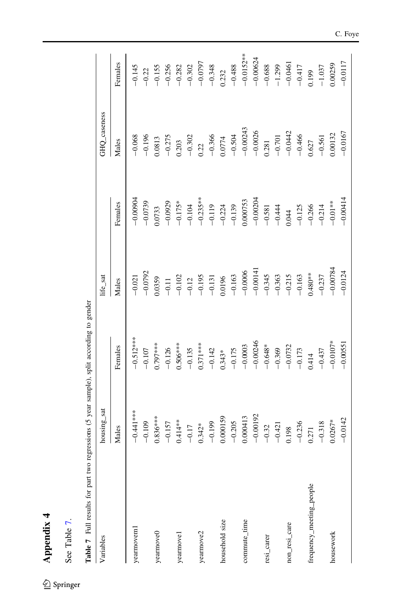| ŧ |
|---|
|   |
|   |
| ۲ |
|   |

| ś     |  |
|-------|--|
|       |  |
| Table |  |
| 5e    |  |

 $\underline{\textcircled{\tiny 2}}$  Springer

Table 7 Full results for part two regressions (5 year sample), split according to gender Table 7 Full results for part two regressions (5 year sample), split according to gender

<span id="page-28-0"></span>

| Variables                | housing_sat         |                                                              | life_sat                                                                |                                                | GHQ_caseness                                                                                                                           |                                                                    |
|--------------------------|---------------------|--------------------------------------------------------------|-------------------------------------------------------------------------|------------------------------------------------|----------------------------------------------------------------------------------------------------------------------------------------|--------------------------------------------------------------------|
|                          | Males               | Females                                                      | Males                                                                   | Females                                        | Males                                                                                                                                  | Females                                                            |
| yearnoveml               | $-0.441$ ***        | $-0.512***$                                                  | $-0.021$                                                                | $-0.00904$                                     | $-0.068$                                                                                                                               | $-0.145$                                                           |
|                          | $-0.109$            |                                                              | $-0.0792$                                                               | $-0.0739$                                      |                                                                                                                                        |                                                                    |
| yearmove0                | $0.836***$          | $-0.107$<br>0.797***                                         | 0.0359                                                                  | 0.0733                                         | $\frac{-0.196}{0.0813}$                                                                                                                | $-0.22$<br>$-0.155$                                                |
|                          | $-0.157$            | $-0.126$                                                     |                                                                         | $-0.0929$                                      |                                                                                                                                        |                                                                    |
| yearmove1                | $0.414**$           | $0.506***$                                                   | $-0.11$<br>$-0.102$                                                     | $-0.175*$                                      | $-0.275$<br>$0.203$<br>$-0.302$<br>$-0.366$<br>$-0.5074$<br>$-0.5043$<br>$-0.50243$<br>$-0.0025$<br>$-0.0026$<br>$-0.0026$<br>$-0.701$ | $-0.256$<br>$-0.282$<br>$-0.302$<br>$-0.0797$<br>$-0.348$<br>0.232 |
|                          | $-0.17$             | $-0.135$                                                     |                                                                         | $-0.104$                                       |                                                                                                                                        |                                                                    |
| yearmove2                | $0.342*$            |                                                              |                                                                         |                                                |                                                                                                                                        |                                                                    |
|                          | $-0.199$            |                                                              |                                                                         |                                                |                                                                                                                                        |                                                                    |
| household size           | 0.000159            | $0.371***$<br>$-0.142$<br>$-0.343*$<br>$-0.175$<br>$-0.0003$ | $\frac{-0.12}{-0.195}$<br>$\frac{-0.195}{-0.131}$                       | $-0.235**$<br>$-0.119$<br>$-0.224$<br>$-0.139$ |                                                                                                                                        |                                                                    |
|                          | $-0.205$            |                                                              |                                                                         |                                                |                                                                                                                                        |                                                                    |
| commute_time             | 0.000413            |                                                              |                                                                         | 0.000753                                       |                                                                                                                                        | $-0.488$<br>$-0.0152**$                                            |
|                          | $-0.00192$          |                                                              | $-0.163$<br>$-0.0006$<br>$-0.00141$<br>$-0.345$<br>$-0.363$<br>$-0.215$ | $-0.00204$                                     |                                                                                                                                        | $-0.00624$                                                         |
| resi_carer               | $-0.32$<br>$-0.421$ |                                                              |                                                                         |                                                |                                                                                                                                        |                                                                    |
|                          |                     |                                                              |                                                                         |                                                |                                                                                                                                        |                                                                    |
| non_resi_care            | 0.198               | $-0.00246$<br>$-0.648*$<br>$-0.369$<br>$-0.0732$<br>$-0.173$ |                                                                         | $-0.581$<br>$-0.444$<br>0.044<br>-0.125        |                                                                                                                                        | $-0.688$<br>$-1.299$<br>$-0.0461$                                  |
|                          | $-0.236$            |                                                              | $-0.163$                                                                |                                                |                                                                                                                                        | $-0.417$                                                           |
| frequency_meeting_people | 0.271               | $0.414$<br>-0.437                                            | $0.480**$                                                               |                                                | $\frac{0.627}{-0.561}$                                                                                                                 | 199                                                                |
|                          | $-0.318$            |                                                              | $-0.237$                                                                | $-0.266$<br>$-0.214$                           |                                                                                                                                        | $-1.037$                                                           |
| housework                | $0.0267*$           | $-0.0107*$                                                   | $-0.00784$                                                              | $-0.01**$                                      | 0.00132                                                                                                                                | 0.00259                                                            |
|                          | $-0.0142$           | $-0.00551$                                                   | $-0.0124$                                                               | $-0.00414$                                     | $-0.0167$                                                                                                                              | $-0.0117$                                                          |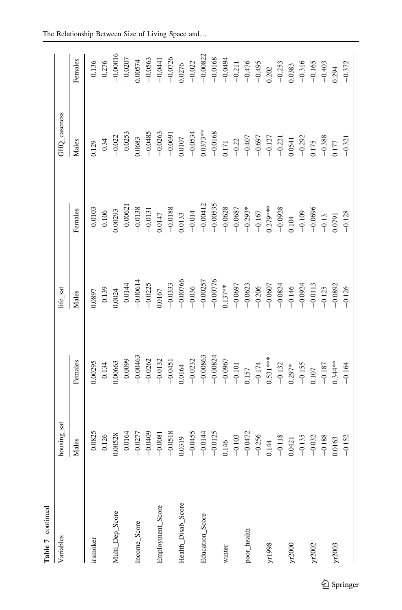| Table 7 continued  |                                                          |                                                                                                                                                     |                                                                                                                |                                                                                                                                                                    |                                                                                                                                      |                                                                          |
|--------------------|----------------------------------------------------------|-----------------------------------------------------------------------------------------------------------------------------------------------------|----------------------------------------------------------------------------------------------------------------|--------------------------------------------------------------------------------------------------------------------------------------------------------------------|--------------------------------------------------------------------------------------------------------------------------------------|--------------------------------------------------------------------------|
| Variables          | housing_sat                                              |                                                                                                                                                     | life_sat                                                                                                       |                                                                                                                                                                    | GHQ_caseness                                                                                                                         |                                                                          |
|                    | Males                                                    | Females                                                                                                                                             | Males                                                                                                          | Females                                                                                                                                                            | Males                                                                                                                                | Females                                                                  |
| irsmoker           | $-0.0825$                                                | 0.00295                                                                                                                                             | 1.0897                                                                                                         | $-0.0103$                                                                                                                                                          | 0.129                                                                                                                                | $-0.136$                                                                 |
|                    | $-0.126$                                                 | $-0.134$                                                                                                                                            | $-0.139$                                                                                                       | $-0.106$                                                                                                                                                           | $-0.34$                                                                                                                              | $-0.276$                                                                 |
| Multi_Dep_Score    | 0.00528                                                  | 0.00663                                                                                                                                             | 1.0024                                                                                                         | 0.00293                                                                                                                                                            | $-0.022$                                                                                                                             | $-0.00016$                                                               |
|                    | $-0.0164$                                                |                                                                                                                                                     |                                                                                                                |                                                                                                                                                                    | $-0.0253$                                                                                                                            | $-0.0207$                                                                |
| Income_Score       | $-0.0277$                                                | $-0.0099$<br>$-0.00463$<br>$-0.0262$                                                                                                                | $-0.0144$<br>$-0.00614$<br>$-0.0225$                                                                           | $\begin{array}{r} -0.00621 \\ -0.0138 \\ -0.0131 \end{array}$                                                                                                      | $0.0683 - 0.0485$                                                                                                                    |                                                                          |
|                    | $-0.0409$                                                |                                                                                                                                                     |                                                                                                                |                                                                                                                                                                    |                                                                                                                                      | $0.00574$<br>-0.0563                                                     |
| Employment_Score   | $-0.0081$                                                |                                                                                                                                                     |                                                                                                                |                                                                                                                                                                    |                                                                                                                                      |                                                                          |
|                    | $-0.0518$                                                |                                                                                                                                                     |                                                                                                                |                                                                                                                                                                    |                                                                                                                                      |                                                                          |
| Health_Disab_Score | 0.0319                                                   | $-0.0132$<br>$-0.0451$<br>0.0164                                                                                                                    | $-0.0167$<br>$-0.0333$<br>$-0.00766$<br>$-0.036$<br>$-0.00257$<br>$-0.00776$<br>0.137**                        | 0.0147<br>$-0.0188$<br>$-0.0133$<br>$-0.0412$<br>$-0.00412$<br>$-0.00535$<br>$-0.0638$<br>$-0.0687$<br>$-0.0687$<br>$-0.0693$<br>$-0.167$<br>$-0.167$<br>$-0.0928$ | $-0.0263$<br>$-0.0691$<br>0.0107                                                                                                     | $-0.0441$<br>$-0.0726$<br>0.0276                                         |
|                    | $-0.0455$                                                |                                                                                                                                                     |                                                                                                                |                                                                                                                                                                    | $-0.0534$                                                                                                                            | $-0.022$                                                                 |
| Education_Score    | $-0.0144$                                                |                                                                                                                                                     |                                                                                                                |                                                                                                                                                                    |                                                                                                                                      |                                                                          |
|                    |                                                          |                                                                                                                                                     |                                                                                                                |                                                                                                                                                                    |                                                                                                                                      |                                                                          |
| winter             |                                                          |                                                                                                                                                     |                                                                                                                |                                                                                                                                                                    |                                                                                                                                      |                                                                          |
|                    |                                                          |                                                                                                                                                     |                                                                                                                |                                                                                                                                                                    |                                                                                                                                      |                                                                          |
| poor_health        | $-0.0125$<br>0.146<br>$-0.103$<br>$-0.0472$<br>$-0.256$  | $\begin{array}{r} -0.0232 \\ -0.00863 \\ -0.00824 \\ -0.0967 \\ -0.101 \\ -0.174 \\ -0.174 \\ -0.174 \\ -0.132 \\ -0.132 \\ 0.297^* \\ \end{array}$ | $-0.0697$<br>$-0.0623$<br>$-0.206$<br>$-0.0607$<br>$-0.0824$<br>$-0.146$<br>$-0.146$<br>$-0.0924$<br>$-0.0924$ |                                                                                                                                                                    | $\begin{array}{r} 0.0373** \\ -0.0168 \\ -0.171 \\ -0.22 \\ -0.407 \\ -0.697 \\ -0.127 \\ -0.127 \\ -0.127 \\ 0.0341 \\ \end{array}$ | $-0.00822$<br>$-0.0168$<br>$-0.0494$<br>$-0.211$<br>$-0.476$<br>$-0.495$ |
|                    |                                                          |                                                                                                                                                     |                                                                                                                |                                                                                                                                                                    |                                                                                                                                      |                                                                          |
| yr1998             | $\begin{array}{c} 0.144 \\ -0.118 \\ 0.0421 \end{array}$ |                                                                                                                                                     |                                                                                                                |                                                                                                                                                                    |                                                                                                                                      |                                                                          |
|                    |                                                          |                                                                                                                                                     |                                                                                                                |                                                                                                                                                                    |                                                                                                                                      |                                                                          |
| yr2000             |                                                          |                                                                                                                                                     |                                                                                                                |                                                                                                                                                                    |                                                                                                                                      | $\begin{array}{c} 0.202 \\ -0.253 \\ 0.0383 \end{array}$                 |
|                    | $-0.135$                                                 |                                                                                                                                                     |                                                                                                                |                                                                                                                                                                    |                                                                                                                                      | $-0.316$                                                                 |
| yr2002             | $-0.032$                                                 | $-0.155$<br>0.107<br>-0.187                                                                                                                         |                                                                                                                | $-0.109$<br>$-0.0696$<br>$-0.13$                                                                                                                                   | $\begin{array}{r} -0.292 \\ 0.175 \\ -0.388 \end{array}$                                                                             | $-0.165$<br>$-0.403$                                                     |
|                    | $-0.188$                                                 |                                                                                                                                                     |                                                                                                                |                                                                                                                                                                    |                                                                                                                                      |                                                                          |
| yr2003             | $0.0163$<br>-0.152                                       | $0.344***$<br>-0.164                                                                                                                                | $-0.0892$<br>$-0.126$                                                                                          | $-0.128$                                                                                                                                                           | $-0.321$                                                                                                                             |                                                                          |
|                    |                                                          |                                                                                                                                                     |                                                                                                                |                                                                                                                                                                    |                                                                                                                                      | $0.294 - 0.372$                                                          |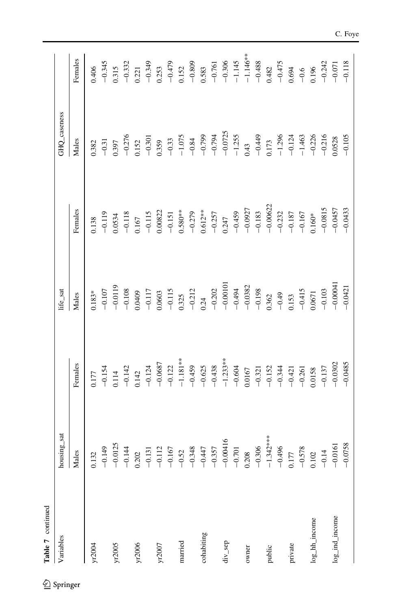| Table 7 continued  |                                                                                                                                                                                                                                                                                                          |                                                                                                                                                                                                                                                                                  |                                                                                                                                                                                                                                                                                                                                 |                                                                                                                                                                                                                                                                                                                                    |                                                                                                                                                                                                                                                                                                                                   |          |
|--------------------|----------------------------------------------------------------------------------------------------------------------------------------------------------------------------------------------------------------------------------------------------------------------------------------------------------|----------------------------------------------------------------------------------------------------------------------------------------------------------------------------------------------------------------------------------------------------------------------------------|---------------------------------------------------------------------------------------------------------------------------------------------------------------------------------------------------------------------------------------------------------------------------------------------------------------------------------|------------------------------------------------------------------------------------------------------------------------------------------------------------------------------------------------------------------------------------------------------------------------------------------------------------------------------------|-----------------------------------------------------------------------------------------------------------------------------------------------------------------------------------------------------------------------------------------------------------------------------------------------------------------------------------|----------|
| Variables          | housing_sat                                                                                                                                                                                                                                                                                              |                                                                                                                                                                                                                                                                                  | life_sat                                                                                                                                                                                                                                                                                                                        |                                                                                                                                                                                                                                                                                                                                    | GHQ_caseness                                                                                                                                                                                                                                                                                                                      |          |
|                    | Males<br>$\mathsf{l}$                                                                                                                                                                                                                                                                                    | Females                                                                                                                                                                                                                                                                          | Males                                                                                                                                                                                                                                                                                                                           | Females                                                                                                                                                                                                                                                                                                                            | Males                                                                                                                                                                                                                                                                                                                             | Females  |
| yr2004             | 0.132                                                                                                                                                                                                                                                                                                    | 0.177                                                                                                                                                                                                                                                                            | $0.183*$                                                                                                                                                                                                                                                                                                                        | 0.138                                                                                                                                                                                                                                                                                                                              | 1.382                                                                                                                                                                                                                                                                                                                             | 0.406    |
|                    | $-0.149$                                                                                                                                                                                                                                                                                                 | $-0.154$                                                                                                                                                                                                                                                                         | $-0.107$                                                                                                                                                                                                                                                                                                                        | $-0.119$                                                                                                                                                                                                                                                                                                                           | $-0.31$                                                                                                                                                                                                                                                                                                                           | $-0.345$ |
| yr2005             |                                                                                                                                                                                                                                                                                                          | $\begin{array}{ccccccc}\n1.14 & 1.22 & 1.24 & 1.25 & 1.26 & 1.27 & 1.28 & 1.29 & 1.20 & 1.24 & 1.28 & 1.29 & 1.20 & 1.20 & 1.20 & 1.20 & 1.20 & 1.20 & 1.20 & 1.20 & 1.20 & 1.20 & 1.20 & 1.20 & 1.20 & 1.20 & 1.20 & 1.20 & 1.20 & 1.20 & 1.20 & 1.20 & 1.20 & 1.20 & 1.20 & 1$ |                                                                                                                                                                                                                                                                                                                                 |                                                                                                                                                                                                                                                                                                                                    |                                                                                                                                                                                                                                                                                                                                   |          |
|                    |                                                                                                                                                                                                                                                                                                          |                                                                                                                                                                                                                                                                                  |                                                                                                                                                                                                                                                                                                                                 |                                                                                                                                                                                                                                                                                                                                    |                                                                                                                                                                                                                                                                                                                                   |          |
| yr2006             |                                                                                                                                                                                                                                                                                                          |                                                                                                                                                                                                                                                                                  |                                                                                                                                                                                                                                                                                                                                 | $\begin{array}{c} 0.0534 \\ -0.118 \\ 0.167 \end{array}$                                                                                                                                                                                                                                                                           |                                                                                                                                                                                                                                                                                                                                   |          |
|                    |                                                                                                                                                                                                                                                                                                          |                                                                                                                                                                                                                                                                                  |                                                                                                                                                                                                                                                                                                                                 |                                                                                                                                                                                                                                                                                                                                    |                                                                                                                                                                                                                                                                                                                                   |          |
| yr2007             | $\begin{array}{cccccccc} -0.0125 & -0.0125 & -0.0125 & -0.0125 & -0.014 & -0.014 & -0.014 & -0.014 & -0.014 & -0.014 & -0.014 & -0.014 & -0.014 & -0.014 & -0.014 & -0.014 & -0.014 & -0.014 & -0.014 & -0.014 & -0.014 & -0.014 & -0.014 & -0.014 & -0.014 & -0.014 & -0.014 & -0.014 & -0.014 & -0.01$ |                                                                                                                                                                                                                                                                                  | $\begin{array}{r} -0.0119 \\ -0.108 \\ -0.117 \\ -0.0409 \\ -0.0503 \\ -0.115 \\ -0.212 \\ -0.212 \\ -0.202 \\ -0.00101 \\ -0.00101 \\ -0.0032 \\ -0.038 \\ -0.038 \\ -0.030 \\ -0.030 \\ -0.030 \\ -0.030 \\ -0.030 \\ -0.030 \\ -0.030 \\ -0.030 \\ -0.030 \\ -0.030 \\ -0.030 \\ -0.030 \\ -0.030 \\ -0.030 \\ -0.030 \\ -0$ | $\begin{array}{r} -0.115 \\ -0.151 \\ -0.580^{***} \\ -0.580^{***} \\ -0.279 \\ -0.247 \\ -0.247 \\ -0.0927 \\ -0.0927 \\ -0.0927 \\ -0.033 \\ -0.183 \\ -0.167 \\ -0.167 \\ -0.167 \\ -0.167 \\ -0.160^{*} \\ -0.160^{*} \\ -0.160^{*} \\ -0.160^{*} \\ -0.160^{*} \\ -0.160^{*} \\ -0.160^{*} \\ -0.160^{*} \\ -0.160^{*} \\ -0$ | $\begin{array}{l} 0.397 \\ -0.276 \\ -0.59 \\ -0.59 \\ -0.359 \\ -0.359 \\ -0.359 \\ -0.359 \\ -0.359 \\ -0.359 \\ -0.359 \\ -0.359 \\ -0.359 \\ -0.359 \\ -0.359 \\ -0.359 \\ -0.359 \\ -0.359 \\ -0.359 \\ -0.359 \\ -0.359 \\ -0.359 \\ -0.359 \\ -0.359 \\ -0.359 \\ -0.359 \\ -0.359 \\ -0.359 \\ -0.359 \\ -0.359 \\ -0.35$ |          |
|                    |                                                                                                                                                                                                                                                                                                          |                                                                                                                                                                                                                                                                                  |                                                                                                                                                                                                                                                                                                                                 |                                                                                                                                                                                                                                                                                                                                    |                                                                                                                                                                                                                                                                                                                                   |          |
| married            |                                                                                                                                                                                                                                                                                                          |                                                                                                                                                                                                                                                                                  |                                                                                                                                                                                                                                                                                                                                 |                                                                                                                                                                                                                                                                                                                                    |                                                                                                                                                                                                                                                                                                                                   |          |
|                    |                                                                                                                                                                                                                                                                                                          |                                                                                                                                                                                                                                                                                  |                                                                                                                                                                                                                                                                                                                                 |                                                                                                                                                                                                                                                                                                                                    |                                                                                                                                                                                                                                                                                                                                   |          |
| cohabiting         |                                                                                                                                                                                                                                                                                                          |                                                                                                                                                                                                                                                                                  |                                                                                                                                                                                                                                                                                                                                 |                                                                                                                                                                                                                                                                                                                                    |                                                                                                                                                                                                                                                                                                                                   |          |
|                    |                                                                                                                                                                                                                                                                                                          |                                                                                                                                                                                                                                                                                  |                                                                                                                                                                                                                                                                                                                                 |                                                                                                                                                                                                                                                                                                                                    |                                                                                                                                                                                                                                                                                                                                   |          |
| div_sep            |                                                                                                                                                                                                                                                                                                          |                                                                                                                                                                                                                                                                                  |                                                                                                                                                                                                                                                                                                                                 |                                                                                                                                                                                                                                                                                                                                    |                                                                                                                                                                                                                                                                                                                                   |          |
|                    |                                                                                                                                                                                                                                                                                                          |                                                                                                                                                                                                                                                                                  |                                                                                                                                                                                                                                                                                                                                 |                                                                                                                                                                                                                                                                                                                                    |                                                                                                                                                                                                                                                                                                                                   |          |
| owner              |                                                                                                                                                                                                                                                                                                          |                                                                                                                                                                                                                                                                                  |                                                                                                                                                                                                                                                                                                                                 |                                                                                                                                                                                                                                                                                                                                    |                                                                                                                                                                                                                                                                                                                                   |          |
|                    |                                                                                                                                                                                                                                                                                                          |                                                                                                                                                                                                                                                                                  |                                                                                                                                                                                                                                                                                                                                 |                                                                                                                                                                                                                                                                                                                                    |                                                                                                                                                                                                                                                                                                                                   |          |
| public             |                                                                                                                                                                                                                                                                                                          |                                                                                                                                                                                                                                                                                  |                                                                                                                                                                                                                                                                                                                                 |                                                                                                                                                                                                                                                                                                                                    |                                                                                                                                                                                                                                                                                                                                   |          |
|                    |                                                                                                                                                                                                                                                                                                          |                                                                                                                                                                                                                                                                                  |                                                                                                                                                                                                                                                                                                                                 |                                                                                                                                                                                                                                                                                                                                    |                                                                                                                                                                                                                                                                                                                                   |          |
| private            |                                                                                                                                                                                                                                                                                                          |                                                                                                                                                                                                                                                                                  |                                                                                                                                                                                                                                                                                                                                 |                                                                                                                                                                                                                                                                                                                                    |                                                                                                                                                                                                                                                                                                                                   |          |
|                    |                                                                                                                                                                                                                                                                                                          |                                                                                                                                                                                                                                                                                  |                                                                                                                                                                                                                                                                                                                                 |                                                                                                                                                                                                                                                                                                                                    |                                                                                                                                                                                                                                                                                                                                   |          |
| log_hh_income      |                                                                                                                                                                                                                                                                                                          |                                                                                                                                                                                                                                                                                  | $\begin{array}{r} -0.415 \\ 0.0671 \\ -0.103 \\ -0.00041 \\ -0.00041 \end{array}$                                                                                                                                                                                                                                               |                                                                                                                                                                                                                                                                                                                                    |                                                                                                                                                                                                                                                                                                                                   |          |
|                    |                                                                                                                                                                                                                                                                                                          |                                                                                                                                                                                                                                                                                  |                                                                                                                                                                                                                                                                                                                                 |                                                                                                                                                                                                                                                                                                                                    |                                                                                                                                                                                                                                                                                                                                   |          |
| $log\_ind\_income$ |                                                                                                                                                                                                                                                                                                          |                                                                                                                                                                                                                                                                                  |                                                                                                                                                                                                                                                                                                                                 | $-0.0815$<br>$-0.0457$                                                                                                                                                                                                                                                                                                             |                                                                                                                                                                                                                                                                                                                                   |          |
|                    |                                                                                                                                                                                                                                                                                                          |                                                                                                                                                                                                                                                                                  |                                                                                                                                                                                                                                                                                                                                 | $-0.0433$                                                                                                                                                                                                                                                                                                                          | $-0.105$                                                                                                                                                                                                                                                                                                                          |          |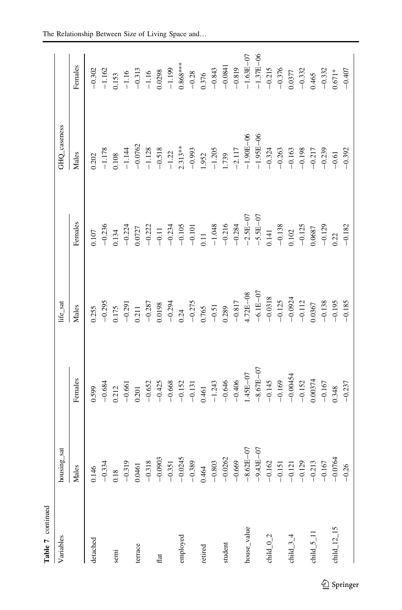| Table 7 continued |               |                                                                                                                                                                                                                                                                                                                               |                                                                                                                                                                                                                                                                                                                    |                                                                                                                                                                                                                                                                                |                                                                                                                                   |                                                                                                                                                                                                                                                                              |
|-------------------|---------------|-------------------------------------------------------------------------------------------------------------------------------------------------------------------------------------------------------------------------------------------------------------------------------------------------------------------------------|--------------------------------------------------------------------------------------------------------------------------------------------------------------------------------------------------------------------------------------------------------------------------------------------------------------------|--------------------------------------------------------------------------------------------------------------------------------------------------------------------------------------------------------------------------------------------------------------------------------|-----------------------------------------------------------------------------------------------------------------------------------|------------------------------------------------------------------------------------------------------------------------------------------------------------------------------------------------------------------------------------------------------------------------------|
| Variables         | housing_sat   |                                                                                                                                                                                                                                                                                                                               | life_sat                                                                                                                                                                                                                                                                                                           |                                                                                                                                                                                                                                                                                | GHQ_caseness                                                                                                                      |                                                                                                                                                                                                                                                                              |
|                   | Males         | Females                                                                                                                                                                                                                                                                                                                       | Males                                                                                                                                                                                                                                                                                                              | Females                                                                                                                                                                                                                                                                        | Males                                                                                                                             | Females                                                                                                                                                                                                                                                                      |
| detached          | 0.146         | 0.599                                                                                                                                                                                                                                                                                                                         |                                                                                                                                                                                                                                                                                                                    |                                                                                                                                                                                                                                                                                | $0.202$<br>-1.178                                                                                                                 |                                                                                                                                                                                                                                                                              |
|                   | $-0.334$      |                                                                                                                                                                                                                                                                                                                               |                                                                                                                                                                                                                                                                                                                    |                                                                                                                                                                                                                                                                                |                                                                                                                                   |                                                                                                                                                                                                                                                                              |
| semi              | 0.18          | $\begin{array}{r} 0.684 \\ 0.212 \\ -0.661 \\ -0.691 \\ -0.645 \\ -0.425 \\ -0.646 \\ -0.131 \\ -0.131 \\ -0.43 \\ -0.445 \\ -0.45 \\ -0.45 \\ -0.145 \\ -0.145 \\ -0.145 \\ -0.152 \\ -0.00374 \\ -0.152 \\ -0.0334 \\ -0.152 \\ -0.0334 \\ -0.0337 \\ -0.0337 \\ -0.0337 \\ -0.0337 \\ -0.0337 \\ -0.0337 \\ -0.0337 \\ -0$ | $\begin{array}{r} 0.255 \\ -0.295 \\ -0.291 \\ -0.211 \\ -0.211 \\ -0.287 \\ -0.0198 \\ -0.24 \\ -0.275 \\ -0.275 \\ -0.51 \\ -0.51 \\ -0.51 \\ -0.51 \\ 0.289 \\ 0.289 \\ 0.239 \\ 0.239 \\ 0.239 \\ 0.239 \\ 0.239 \\ 0.239 \\ 0.239 \\ 0.239 \\ 0.239 \\ 0.239 \\ 0.239 \\ 0.239 \\ 0.239 \\ 0.239 \\ 0.239 \\$ | 0.107<br>$-0.236$<br>$-0.224$<br>$-0.221$<br>$-0.21$<br>$-0.22$<br>$-0.11$<br>$-0.23$<br>$-0.11$<br>$-0.11$<br>$-0.234$<br>$-0.14$<br>$-0.24$<br>$-0.24$<br>$-0.24$<br>$-0.24$<br>$-0.24$<br>$-0.24$<br>$-0.24$<br>$-0.24$<br>$-0.24$<br>$-0.24$<br>$-0.24$<br>$-0.24$<br>$-0$ | $\begin{array}{r} 0.108 \\ -1.144 \\ -0.0762 \end{array}$                                                                         | $-0.302$<br>$-1.162$<br>$-1.16$<br>$-1.16$<br>$-1.16$<br>$-1.16$<br>$-0.313$<br>$-0.39$<br>$-0.38$<br>$-0.38$<br>$-0.38$<br>$-0.341$<br>$-0.315$<br>$-0.376$<br>$-0.315$<br>$-0.376$<br>$-0.376$<br>$-0.376$<br>$-0.376$<br>$-0.376$<br>$-0.376$<br>$-0.376$<br>$-0.376$<br> |
|                   | $-0.319$      |                                                                                                                                                                                                                                                                                                                               |                                                                                                                                                                                                                                                                                                                    |                                                                                                                                                                                                                                                                                |                                                                                                                                   |                                                                                                                                                                                                                                                                              |
| terrace           | 0.0461        |                                                                                                                                                                                                                                                                                                                               |                                                                                                                                                                                                                                                                                                                    |                                                                                                                                                                                                                                                                                |                                                                                                                                   |                                                                                                                                                                                                                                                                              |
|                   | $-0.318$      |                                                                                                                                                                                                                                                                                                                               |                                                                                                                                                                                                                                                                                                                    |                                                                                                                                                                                                                                                                                |                                                                                                                                   |                                                                                                                                                                                                                                                                              |
| flat              | $-0.0903$     |                                                                                                                                                                                                                                                                                                                               |                                                                                                                                                                                                                                                                                                                    |                                                                                                                                                                                                                                                                                |                                                                                                                                   |                                                                                                                                                                                                                                                                              |
|                   | $-0.351$      |                                                                                                                                                                                                                                                                                                                               |                                                                                                                                                                                                                                                                                                                    |                                                                                                                                                                                                                                                                                |                                                                                                                                   |                                                                                                                                                                                                                                                                              |
| employed          | $-0.0245$     |                                                                                                                                                                                                                                                                                                                               |                                                                                                                                                                                                                                                                                                                    |                                                                                                                                                                                                                                                                                | $\begin{array}{r} -1.128 \\ -0.518 \\ -1.22 \\ 2.313^{**} \\ -0.993 \\ -1.205 \\ -1.205 \\ -1.205 \\ -1.205 \\ 1.739 \end{array}$ |                                                                                                                                                                                                                                                                              |
|                   | $-0.389$      |                                                                                                                                                                                                                                                                                                                               |                                                                                                                                                                                                                                                                                                                    |                                                                                                                                                                                                                                                                                |                                                                                                                                   |                                                                                                                                                                                                                                                                              |
| retired           | 0.464         |                                                                                                                                                                                                                                                                                                                               |                                                                                                                                                                                                                                                                                                                    |                                                                                                                                                                                                                                                                                |                                                                                                                                   |                                                                                                                                                                                                                                                                              |
|                   | $-0.803$      |                                                                                                                                                                                                                                                                                                                               |                                                                                                                                                                                                                                                                                                                    |                                                                                                                                                                                                                                                                                |                                                                                                                                   |                                                                                                                                                                                                                                                                              |
| student           | $-0.0262$     |                                                                                                                                                                                                                                                                                                                               |                                                                                                                                                                                                                                                                                                                    |                                                                                                                                                                                                                                                                                |                                                                                                                                   |                                                                                                                                                                                                                                                                              |
|                   | $-0.669$      |                                                                                                                                                                                                                                                                                                                               |                                                                                                                                                                                                                                                                                                                    |                                                                                                                                                                                                                                                                                |                                                                                                                                   |                                                                                                                                                                                                                                                                              |
| house_value       | $-8.62E - 07$ |                                                                                                                                                                                                                                                                                                                               | $-0.817$<br>$+4.72E-08$<br>$-6.1E-07$<br>$-0.0318$<br>$-0.125$<br>$-0.122$<br>$-0.112$                                                                                                                                                                                                                             |                                                                                                                                                                                                                                                                                | $-2.117$<br>-1.90E-06<br>-1.95E-06                                                                                                |                                                                                                                                                                                                                                                                              |
|                   | $-9.43E - 07$ |                                                                                                                                                                                                                                                                                                                               |                                                                                                                                                                                                                                                                                                                    |                                                                                                                                                                                                                                                                                |                                                                                                                                   |                                                                                                                                                                                                                                                                              |
| child $_{-0.2}$   | $-0.162$      |                                                                                                                                                                                                                                                                                                                               |                                                                                                                                                                                                                                                                                                                    |                                                                                                                                                                                                                                                                                |                                                                                                                                   |                                                                                                                                                                                                                                                                              |
|                   | $-0.151$      |                                                                                                                                                                                                                                                                                                                               |                                                                                                                                                                                                                                                                                                                    |                                                                                                                                                                                                                                                                                |                                                                                                                                   |                                                                                                                                                                                                                                                                              |
| child $34$        | $-0.121$      |                                                                                                                                                                                                                                                                                                                               |                                                                                                                                                                                                                                                                                                                    |                                                                                                                                                                                                                                                                                |                                                                                                                                   |                                                                                                                                                                                                                                                                              |
|                   | $-0.129$      |                                                                                                                                                                                                                                                                                                                               |                                                                                                                                                                                                                                                                                                                    |                                                                                                                                                                                                                                                                                |                                                                                                                                   |                                                                                                                                                                                                                                                                              |
| child $_5$ $_1$ : | $-0.213$      |                                                                                                                                                                                                                                                                                                                               |                                                                                                                                                                                                                                                                                                                    |                                                                                                                                                                                                                                                                                | $-0.324$<br>$-0.263$<br>$-0.163$<br>$-0.198$<br>$-0.217$<br>$-0.217$<br>$-0.239$                                                  |                                                                                                                                                                                                                                                                              |
|                   | $-0.167$      |                                                                                                                                                                                                                                                                                                                               |                                                                                                                                                                                                                                                                                                                    |                                                                                                                                                                                                                                                                                |                                                                                                                                   |                                                                                                                                                                                                                                                                              |
| child $\_12\_15$  | $-0.0764$     |                                                                                                                                                                                                                                                                                                                               | $-0.138$<br>$-0.195$<br>$-0.185$                                                                                                                                                                                                                                                                                   |                                                                                                                                                                                                                                                                                |                                                                                                                                   |                                                                                                                                                                                                                                                                              |
|                   | $-0.26$       |                                                                                                                                                                                                                                                                                                                               |                                                                                                                                                                                                                                                                                                                    | $-0.182$                                                                                                                                                                                                                                                                       | $-0.392$                                                                                                                          | $-0.407$                                                                                                                                                                                                                                                                     |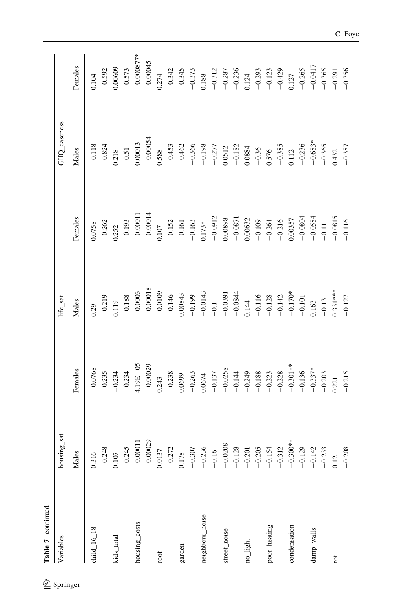| Table 7 continued  |                                                                                                                                                                        |                                                                                                                                                                                                                                                                                                   |                                                                                                                                                                                                        |                                                                                                                                                                                                                                                                                                                           |                                                                                                                                          |                                                                                                                                                                                                                                                                     |
|--------------------|------------------------------------------------------------------------------------------------------------------------------------------------------------------------|---------------------------------------------------------------------------------------------------------------------------------------------------------------------------------------------------------------------------------------------------------------------------------------------------|--------------------------------------------------------------------------------------------------------------------------------------------------------------------------------------------------------|---------------------------------------------------------------------------------------------------------------------------------------------------------------------------------------------------------------------------------------------------------------------------------------------------------------------------|------------------------------------------------------------------------------------------------------------------------------------------|---------------------------------------------------------------------------------------------------------------------------------------------------------------------------------------------------------------------------------------------------------------------|
| Variables          | housing_sat                                                                                                                                                            |                                                                                                                                                                                                                                                                                                   | life_sat                                                                                                                                                                                               |                                                                                                                                                                                                                                                                                                                           | GHQ_caseness                                                                                                                             |                                                                                                                                                                                                                                                                     |
|                    | Males                                                                                                                                                                  | Females                                                                                                                                                                                                                                                                                           | Males                                                                                                                                                                                                  | Females                                                                                                                                                                                                                                                                                                                   | Males                                                                                                                                    | Females                                                                                                                                                                                                                                                             |
| child $_{-16\_18}$ |                                                                                                                                                                        | $-0.0768$                                                                                                                                                                                                                                                                                         | 0.29                                                                                                                                                                                                   | 1.0758                                                                                                                                                                                                                                                                                                                    | $-0.118$                                                                                                                                 | $0.104$                                                                                                                                                                                                                                                             |
|                    |                                                                                                                                                                        | $-0.235$                                                                                                                                                                                                                                                                                          | $-0.219$                                                                                                                                                                                               | $-0.262$                                                                                                                                                                                                                                                                                                                  | $-0.824$                                                                                                                                 |                                                                                                                                                                                                                                                                     |
| kids_total         | 0.316<br>$-0.248$<br>0.107<br>$-0.245$<br>$-0.245$                                                                                                                     |                                                                                                                                                                                                                                                                                                   | 0.119                                                                                                                                                                                                  |                                                                                                                                                                                                                                                                                                                           |                                                                                                                                          | $\begin{array}{l} 0.92\\0.00609\\0.00609\\0.000045\\0.000045\\0.00045\\0.00045\\0.00045\\0.00045\\0.00045\\0.00045\\0.00045\\0.00045\\0.0004\\0.0004\\0.0004\\0.0004\\0.0004\\0.0004\\0.0004\\0.0004\\0.0004\\0.0004\\0.0004\\0.0004\\0.0004\\0.0004\\0.0004\\0.00$ |
|                    |                                                                                                                                                                        | $-0.234$<br>$-0.234$                                                                                                                                                                                                                                                                              | $\begin{array}{r} -0.188\\ -0.0003\\ -0.0003\\ -0.0109\\ -0.146\\ -0.00843\\ -0.199\\ -0.00843\\ -0.199\\ -0.00844\\ -0.144\\ -0.142\\ -0.128\\ -0.123\\ -0.17\\ 0.163\\ -0.103\\ 0.163\\ \end{array}$ | $\begin{array}{r} 0.252 \\ -0.193 \\ -0.00011 \\ -0.00014 \\ 0.107 \\ -0.152 \\ -0.151 \\ -0.161 \\ -0.161 \\ -0.163 \\ -0.0912 \\ -0.0912 \\ 0.00898 \\ 0.00898 \\ \end{array}$                                                                                                                                          | $\begin{array}{r} 0.218 \\ -0.51 \\ 0.00013 \\ -0.00054 \\ -0.00054 \end{array}$                                                         |                                                                                                                                                                                                                                                                     |
| housing_costs      |                                                                                                                                                                        | 4.19E-05                                                                                                                                                                                                                                                                                          |                                                                                                                                                                                                        |                                                                                                                                                                                                                                                                                                                           |                                                                                                                                          |                                                                                                                                                                                                                                                                     |
|                    |                                                                                                                                                                        | $-0.00029$                                                                                                                                                                                                                                                                                        |                                                                                                                                                                                                        |                                                                                                                                                                                                                                                                                                                           |                                                                                                                                          |                                                                                                                                                                                                                                                                     |
| roof               |                                                                                                                                                                        | 0.243                                                                                                                                                                                                                                                                                             |                                                                                                                                                                                                        |                                                                                                                                                                                                                                                                                                                           |                                                                                                                                          |                                                                                                                                                                                                                                                                     |
|                    |                                                                                                                                                                        | $-0.238$                                                                                                                                                                                                                                                                                          |                                                                                                                                                                                                        |                                                                                                                                                                                                                                                                                                                           |                                                                                                                                          |                                                                                                                                                                                                                                                                     |
| garden             | $-0.00029$<br>$-0.272$<br>$-0.272$<br>$-0.357$<br>$-0.357$<br>$-0.356$<br>$-0.236$<br>$-0.236$<br>$-0.203$<br>$-0.203$<br>$-0.203$<br>$-0.203$<br>$-0.203$<br>$-0.203$ | $\begin{array}{l} 0.0699\\ -0.263\\ -0.137\\ 0.0674\\ -0.137\\ -0.0238\\ -0.144\\ -0.243\\ -0.233\\ -0.233\\ -0.233\\ -0.337\\ -0.337\\ -0.337\\ -0.337\\ -0.337\\ -0.337\\ -0.337\\ -0.337\\ -0.337\\ -0.337\\ -0.337\\ -0.337\\ -0.337\\ -0.337\\ -0.337\\ -0.337\\ -0.337\\ -0.337\\ -0.337\\$ |                                                                                                                                                                                                        |                                                                                                                                                                                                                                                                                                                           | $-0.453$<br>$-0.462$<br>$-0.366$<br>$-0.198$<br>$-0.277$<br>$-0.277$                                                                     |                                                                                                                                                                                                                                                                     |
|                    |                                                                                                                                                                        |                                                                                                                                                                                                                                                                                                   |                                                                                                                                                                                                        |                                                                                                                                                                                                                                                                                                                           |                                                                                                                                          |                                                                                                                                                                                                                                                                     |
| neighbour_noise    |                                                                                                                                                                        |                                                                                                                                                                                                                                                                                                   |                                                                                                                                                                                                        |                                                                                                                                                                                                                                                                                                                           |                                                                                                                                          |                                                                                                                                                                                                                                                                     |
|                    |                                                                                                                                                                        |                                                                                                                                                                                                                                                                                                   |                                                                                                                                                                                                        |                                                                                                                                                                                                                                                                                                                           |                                                                                                                                          |                                                                                                                                                                                                                                                                     |
| street_noise       |                                                                                                                                                                        |                                                                                                                                                                                                                                                                                                   |                                                                                                                                                                                                        |                                                                                                                                                                                                                                                                                                                           |                                                                                                                                          |                                                                                                                                                                                                                                                                     |
|                    |                                                                                                                                                                        |                                                                                                                                                                                                                                                                                                   |                                                                                                                                                                                                        |                                                                                                                                                                                                                                                                                                                           |                                                                                                                                          |                                                                                                                                                                                                                                                                     |
| no_light           |                                                                                                                                                                        |                                                                                                                                                                                                                                                                                                   |                                                                                                                                                                                                        | $\begin{array}{r} -0.0871 \\ -0.0632 \\ -0.109 \\ -0.264 \\ -0.216 \\ -0.0357 \\ -0.0834 \\ -0.0834 \\ -0.0834 \\ -0.0815 \\ -0.011 \\ -0.0815 \\ -0.0815 \\ -0.0011 \\ -0.0015 \\ -0.0015 \\ -0.0015 \\ -0.0015 \\ -0.0015 \\ -0.0015 \\ -0.0015 \\ -0.0015 \\ -0.0015 \\ -0.0015 \\ -0.0015 \\ -0.0015 \\ -0.0015 \\ -$ | $\begin{array}{r} -0.182 \\ -0.384 \\ -0.36 \\ 0.576 \\ -0.385 \\ -0.12 \\ -0.236 \\ -0.683* \\ -0.683* \\ -0.365 \\ -0.365 \end{array}$ |                                                                                                                                                                                                                                                                     |
|                    |                                                                                                                                                                        |                                                                                                                                                                                                                                                                                                   |                                                                                                                                                                                                        |                                                                                                                                                                                                                                                                                                                           |                                                                                                                                          |                                                                                                                                                                                                                                                                     |
| poor_heating       |                                                                                                                                                                        |                                                                                                                                                                                                                                                                                                   |                                                                                                                                                                                                        |                                                                                                                                                                                                                                                                                                                           |                                                                                                                                          |                                                                                                                                                                                                                                                                     |
|                    |                                                                                                                                                                        |                                                                                                                                                                                                                                                                                                   |                                                                                                                                                                                                        |                                                                                                                                                                                                                                                                                                                           |                                                                                                                                          |                                                                                                                                                                                                                                                                     |
| condensation       |                                                                                                                                                                        |                                                                                                                                                                                                                                                                                                   |                                                                                                                                                                                                        |                                                                                                                                                                                                                                                                                                                           |                                                                                                                                          |                                                                                                                                                                                                                                                                     |
|                    |                                                                                                                                                                        |                                                                                                                                                                                                                                                                                                   |                                                                                                                                                                                                        |                                                                                                                                                                                                                                                                                                                           |                                                                                                                                          |                                                                                                                                                                                                                                                                     |
| damp_walls         |                                                                                                                                                                        |                                                                                                                                                                                                                                                                                                   |                                                                                                                                                                                                        |                                                                                                                                                                                                                                                                                                                           |                                                                                                                                          |                                                                                                                                                                                                                                                                     |
|                    | $-0.300**$<br>$-0.129$<br>$-0.142$<br>$-0.233$<br>$-0.233$<br>$-0.208$                                                                                                 |                                                                                                                                                                                                                                                                                                   | $-0.13$                                                                                                                                                                                                |                                                                                                                                                                                                                                                                                                                           |                                                                                                                                          | $-0.265$<br>$-0.0417$<br>$-0.365$<br>$-0.291$<br>$-0.356$                                                                                                                                                                                                           |
| rot                |                                                                                                                                                                        | 0.221                                                                                                                                                                                                                                                                                             | $0.331***$                                                                                                                                                                                             |                                                                                                                                                                                                                                                                                                                           |                                                                                                                                          |                                                                                                                                                                                                                                                                     |
|                    |                                                                                                                                                                        | $-0.215$                                                                                                                                                                                                                                                                                          | $-0.127$                                                                                                                                                                                               |                                                                                                                                                                                                                                                                                                                           | $-0.387$                                                                                                                                 |                                                                                                                                                                                                                                                                     |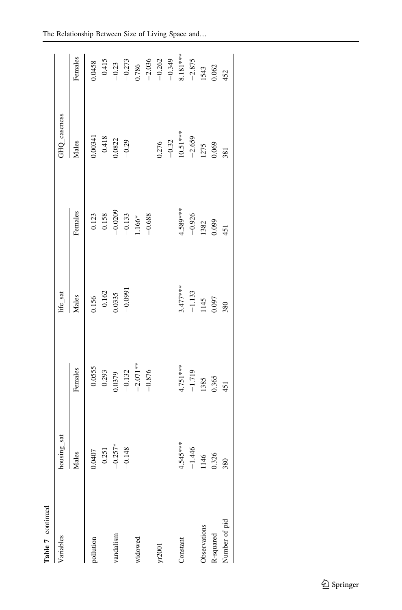| Table 7 continued |               |                                                           |                       |                                               |                           |                                 |
|-------------------|---------------|-----------------------------------------------------------|-----------------------|-----------------------------------------------|---------------------------|---------------------------------|
| Variables         | housing_sat   |                                                           | life_sat              |                                               | GHQ_caseness              |                                 |
|                   | Males         | Females                                                   | Males                 | Females                                       | Males                     | Females                         |
| pollution         | 0.0407        | $-0.0555$                                                 | 0.156                 |                                               | 0.00341                   | 0.0458                          |
|                   | $-0.251$      |                                                           | $-0.162$              |                                               | $-0.418$                  |                                 |
| vandalism         | $0.257*$<br>P | $\begin{array}{r} -0.293 \\ 0.0379 \\ -0.132 \end{array}$ | 0.0335                | $-0.123$<br>$-0.158$<br>$-0.0209$<br>$-0.133$ | 0.0822                    | $-0.415$<br>$-0.23$<br>$-0.273$ |
|                   | $-0.148$      |                                                           | $-0.0991$             |                                               | $-0.29$                   |                                 |
| widowed           |               | $-2.071***$                                               |                       | $1.166*$                                      |                           | 0.786                           |
|                   |               | $-0.876$                                                  |                       | $-0.688$                                      |                           | $-2.036$                        |
| yr2001            |               |                                                           |                       |                                               | 0.276                     | $-0.262$                        |
|                   |               |                                                           |                       |                                               | $-0.32$                   | $-0.349$                        |
| Constant          | 4.545 ***     | 4.751***                                                  | $3.477***$            | 4.589***                                      | $10.51***$                | 8.181***                        |
|                   | 1.446<br>T    | $-1.719$                                                  |                       | $-0.926$                                      |                           | $-2.875$                        |
| Observations      | 1146          | 1385                                                      | $\frac{-1.133}{1145}$ | 1382                                          | $-2.659$<br>1275<br>0.069 | 1543                            |
| R-squared         | 0.326         | 0.365                                                     |                       | 0.099                                         |                           | 0.062                           |
| Number of pid     | 380           | 451                                                       | 380                   | 451                                           | 381                       | 452                             |
|                   |               |                                                           |                       |                                               |                           |                                 |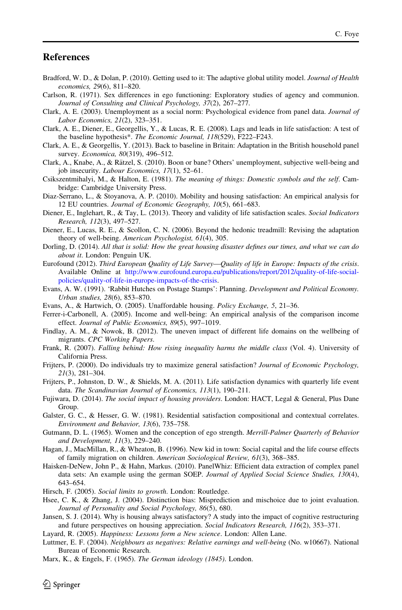#### <span id="page-34-0"></span>**References**

- Bradford, W. D., & Dolan, P. (2010). Getting used to it: The adaptive global utility model. Journal of Health economics, 29(6), 811–820.
- Carlson, R. (1971). Sex differences in ego functioning: Exploratory studies of agency and communion. Journal of Consulting and Clinical Psychology, 37(2), 267–277.
- Clark, A. E. (2003). Unemployment as a social norm: Psychological evidence from panel data. Journal of Labor Economics, 21(2), 323–351.
- Clark, A. E., Diener, E., Georgellis, Y., & Lucas, R. E. (2008). Lags and leads in life satisfaction: A test of the baseline hypothesis\*. The Economic Journal, 118(529), F222–F243.
- Clark, A. E., & Georgellis, Y. (2013). Back to baseline in Britain: Adaptation in the British household panel survey. Economica, 80(319), 496-512.
- Clark, A., Knabe, A., & Rätzel, S. (2010). Boon or bane? Others' unemployment, subjective well-being and job insecurity. Labour Economics, 17(1), 52–61.
- Csikszentmihalyi, M., & Halton, E. (1981). The meaning of things: Domestic symbols and the self. Cambridge: Cambridge University Press.
- Diaz-Serrano, L., & Stoyanova, A. P. (2010). Mobility and housing satisfaction: An empirical analysis for 12 EU countries. Journal of Economic Geography, 10(5), 661–683.
- Diener, E., Inglehart, R., & Tay, L. (2013). Theory and validity of life satisfaction scales. Social Indicators Research, 112(3), 497–527.
- Diener, E., Lucas, R. E., & Scollon, C. N. (2006). Beyond the hedonic treadmill: Revising the adaptation theory of well-being. American Psychologist, 61(4), 305.
- Dorling, D. (2014). All that is solid: How the great housing disaster defines our times, and what we can do about it. London: Penguin UK.
- Eurofound (2012). Third European Quality of Life Survey—Quality of life in Europe: Impacts of the crisis. Available Online at [http://www.eurofound.europa.eu/publications/report/2012/quality-of-life-social](http://www.eurofound.europa.eu/publications/report/2012/quality-of-life-social-policies/quality-of-life-in-europe-impacts-of-the-crisis)[policies/quality-of-life-in-europe-impacts-of-the-crisis](http://www.eurofound.europa.eu/publications/report/2012/quality-of-life-social-policies/quality-of-life-in-europe-impacts-of-the-crisis).
- Evans, A. W. (1991). 'Rabbit Hutches on Postage Stamps': Planning. Development and Political Economy. Urban studies, 28(6), 853–870.
- Evans, A., & Hartwich, O. (2005). Unaffordable housing. Policy Exchange, 5, 21–36.
- Ferrer-i-Carbonell, A. (2005). Income and well-being: An empirical analysis of the comparison income effect. Journal of Public Economics, 89(5), 997–1019.
- Findlay, A. M., & Nowok, B. (2012). The uneven impact of different life domains on the wellbeing of migrants. CPC Working Papers.
- Frank, R. (2007). Falling behind: How rising inequality harms the middle class (Vol. 4). University of California Press.
- Frijters, P. (2000). Do individuals try to maximize general satisfaction? Journal of Economic Psychology, 21(3), 281–304.
- Frijters, P., Johnston, D. W., & Shields, M. A. (2011). Life satisfaction dynamics with quarterly life event data. The Scandinavian Journal of Economics, 113(1), 190–211.
- Fujiwara, D. (2014). The social impact of housing providers. London: HACT, Legal & General, Plus Dane Group.
- Galster, G. C., & Hesser, G. W. (1981). Residential satisfaction compositional and contextual correlates. Environment and Behavior, 13(6), 735–758.
- Gutmann, D. L. (1965). Women and the conception of ego strength. Merrill-Palmer Quarterly of Behavior and Development, 11(3), 229–240.
- Hagan, J., MacMillan, R., & Wheaton, B. (1996). New kid in town: Social capital and the life course effects of family migration on children. American Sociological Review, 61(3), 368–385.
- Haisken-DeNew, John P., & Hahn, Markus. (2010). PanelWhiz: Efficient data extraction of complex panel data sets: An example using the german SOEP. Journal of Applied Social Science Studies, 130(4), 643–654.
- Hirsch, F. (2005). Social limits to growth. London: Routledge.
- Hsee, C. K., & Zhang, J. (2004). Distinction bias: Misprediction and mischoice due to joint evaluation. Journal of Personality and Social Psychology, 86(5), 680.
- Jansen, S. J. (2014). Why is housing always satisfactory? A study into the impact of cognitive restructuring and future perspectives on housing appreciation. Social Indicators Research, 116(2), 353–371.
- Layard, R. (2005). Happiness: Lessons form a New science. London: Allen Lane.
- Luttmer, E. F. (2004). Neighbours as negatives: Relative earnings and well-being (No. w10667). National Bureau of Economic Research.
- Marx, K., & Engels, F. (1965). The German ideology (1845). London.

 $\mathcal{L}$  Springer